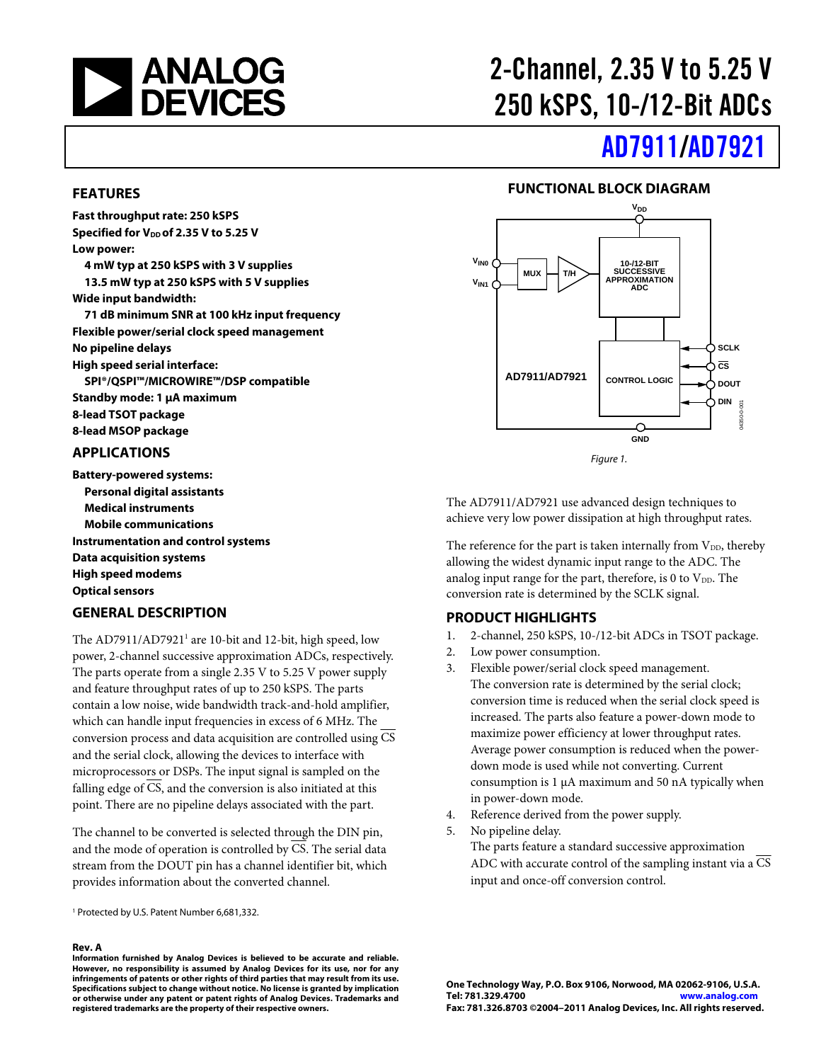

# 2-Channel, 2.35 V to 5.25 V 250 kSPS, 10-/12-Bit ADCs

# [AD7911/](www.analog.com/AD7911)[AD7921](www.analog.com/AD7921)

#### **FUNCTIONAL BLOCK DIAGRAM**





The AD7911/AD7921 use advanced design techniques to achieve very low power dissipation at high throughput rates.

The reference for the part is taken internally from  $V_{DD}$ , thereby allowing the widest dynamic input range to the ADC. The analog input range for the part, therefore, is 0 to  $V_{DD}$ . The conversion rate is determined by the SCLK signal.

#### **PRODUCT HIGHLIGHTS**

- 1. 2-channel, 250 kSPS, 10-/12-bit ADCs in TSOT package.
- 2. Low power consumption.
- 3. Flexible power/serial clock speed management. The conversion rate is determined by the serial clock; conversion time is reduced when the serial clock speed is increased. The parts also feature a power-down mode to maximize power efficiency at lower throughput rates. Average power consumption is reduced when the powerdown mode is used while not converting. Current consumption is 1 μA maximum and 50 nA typically when in power-down mode.
- 4. Reference derived from the power supply.
- 5. No pipeline delay. The parts feature a standard successive approximation ADC with accurate control of the sampling instant via a  $\overline{CS}$ input and once-off conversion control.

#### **FEATURES**

**Fast throughput rate: 250 kSPS Specified for V<sub>DD</sub> of 2.35 V to 5.25 V Low power:** 

**4 mW typ at 250 kSPS with 3 V supplies 13.5 mW typ at 250 kSPS with 5 V supplies Wide input bandwidth:** 

**71 dB minimum SNR at 100 kHz input frequency Flexible power/serial clock speed management No pipeline delays High speed serial interface: SPI®/QSPI™/MICROWIRE™/DSP compatible Standby mode: 1 μA maximum 8-lead TSOT package** 

**8-lead MSOP package** 

#### **APPLICATIONS**

**Battery-powered systems: Personal digital assistants Medical instruments Mobile communications Instrumentation and control systems Data acquisition systems High speed modems Optical sensors** 

#### **GENERAL DESCRIPTION**

The AD7911/AD7921<sup>1</sup> are 10-bit and 12-bit, high speed, low power, 2-channel successive approximation ADCs, respectively. The parts operate from a single 2.35 V to 5.25 V power supply and feature throughput rates of up to 250 kSPS. The parts contain a low noise, wide bandwidth track-and-hold amplifier, which can handle input frequencies in excess of 6 MHz. The conversion process and data acquisition are controlled using  $\overline{\text{CS}}$ and the serial clock, allowing the devices to interface with microprocessors or DSPs. The input signal is sampled on the falling edge of CS, and the conversion is also initiated at this point. There are no pipeline delays associated with the part.

The channel to be converted is selected through the DIN pin, and the mode of operation is controlled by CS. The serial data stream from the DOUT pin has a channel identifier bit, which provides information about the converted channel.

1 Protected by U.S. Patent Number 6,681,332.

#### **Rev. A**

**Information furnished by Analog Devices is believed to be accurate and reliable. However, no responsibility is assumed by Analog Devices for its use, nor for any infringements of patents or other rights of third parties that may result from its use. Specifications subject to change without notice. No license is granted by implication or otherwise under any patent or patent rights of Analog Devices. Trademarks and registered trademarks are the property of their respective owners.**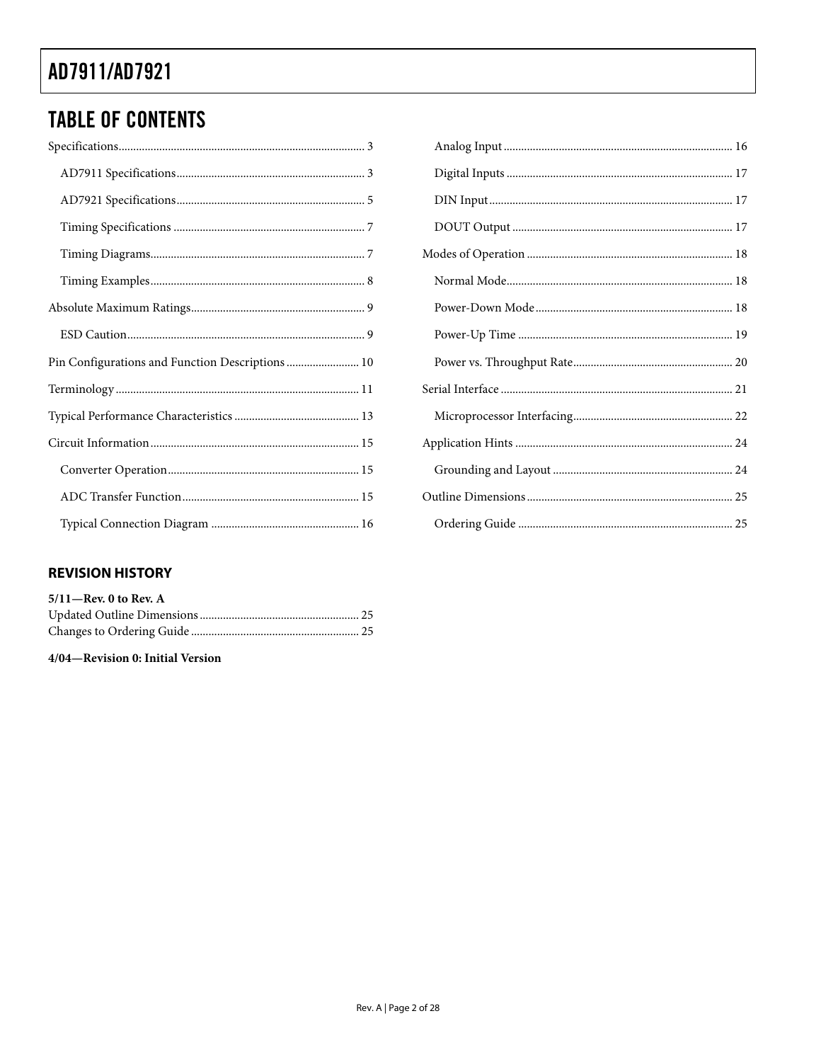### **TABLE OF CONTENTS**

| Pin Configurations and Function Descriptions  10 |
|--------------------------------------------------|
|                                                  |
|                                                  |
|                                                  |
|                                                  |
|                                                  |
|                                                  |

| 3              |  |
|----------------|--|
| 3              |  |
| 5              |  |
| 7              |  |
| 7              |  |
| 8              |  |
| 9              |  |
| 9              |  |
| l0             |  |
| $\overline{1}$ |  |
| 13             |  |
| l 5            |  |
| l 5            |  |
| 15             |  |
| 16             |  |

#### **REVISION HISTORY**

| $5/11$ —Rev. 0 to Rev. A |  |
|--------------------------|--|
|                          |  |
|                          |  |

4/04-Revision 0: Initial Version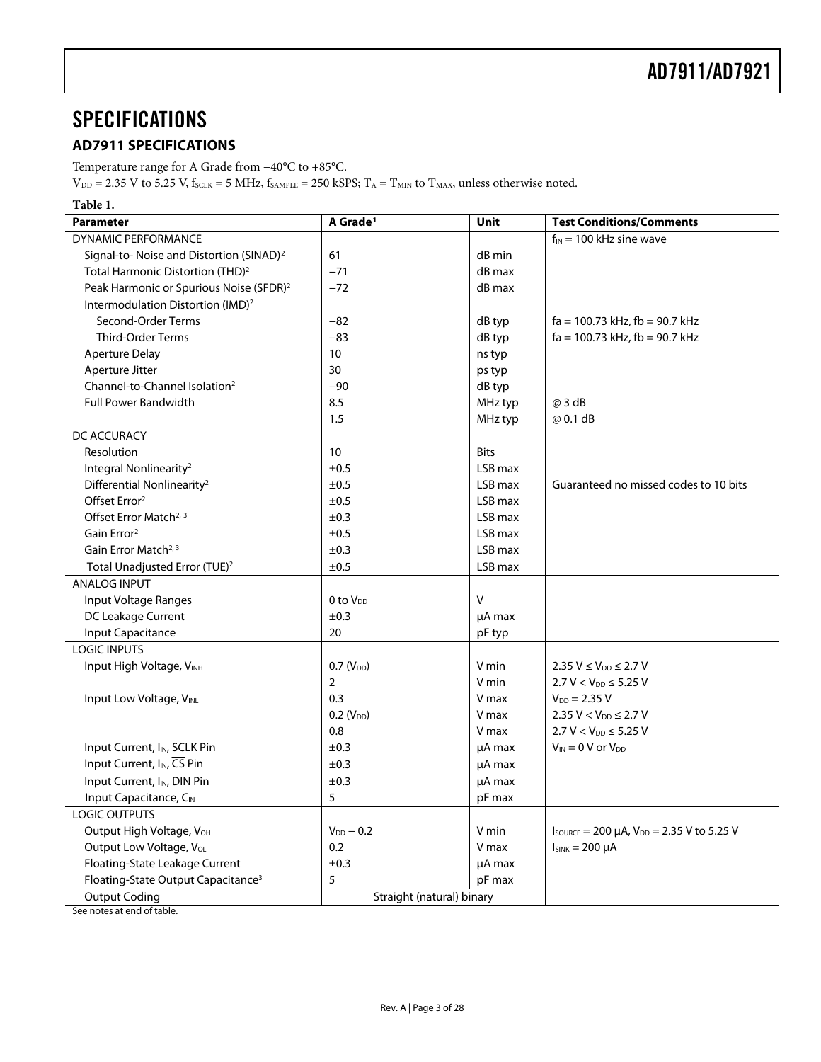### <span id="page-2-1"></span><span id="page-2-0"></span>**SPECIFICATIONS**

#### **AD7911 SPECIFICATIONS**

Temperature range for A Grade from −40°C to +85°C.

 $V_{\text{DD}} = 2.35 \text{ V}$  to 5.25 V,  $f_{\text{SCLK}} = 5 \text{ MHz}$ ,  $f_{\text{SAMPLE}} = 250 \text{ kSPS}$ ;  $T_A = T_{\text{MIN}}$  to  $T_{\text{MAX}}$ , unless otherwise noted.

| <b>Parameter</b>                                     | A Grade <sup>1</sup>      | <b>Unit</b> | <b>Test Conditions/Comments</b>                                              |
|------------------------------------------------------|---------------------------|-------------|------------------------------------------------------------------------------|
| DYNAMIC PERFORMANCE                                  |                           |             | $f_{IN}$ = 100 kHz sine wave                                                 |
| Signal-to- Noise and Distortion (SINAD) <sup>2</sup> | 61                        | dB min      |                                                                              |
| Total Harmonic Distortion (THD) <sup>2</sup>         | $-71$                     | dB max      |                                                                              |
| Peak Harmonic or Spurious Noise (SFDR) <sup>2</sup>  | $-72$                     | dB max      |                                                                              |
| Intermodulation Distortion (IMD) <sup>2</sup>        |                           |             |                                                                              |
| Second-Order Terms                                   | $-82$                     | dB typ      | $fa = 100.73$ kHz, $fb = 90.7$ kHz                                           |
| <b>Third-Order Terms</b>                             | $-83$                     | dB typ      | $fa = 100.73$ kHz, $fb = 90.7$ kHz                                           |
| <b>Aperture Delay</b>                                | 10 <sup>°</sup>           | ns typ      |                                                                              |
| Aperture Jitter                                      | 30                        | ps typ      |                                                                              |
| Channel-to-Channel Isolation <sup>2</sup>            | $-90$                     | dB typ      |                                                                              |
| <b>Full Power Bandwidth</b>                          | 8.5                       | MHz typ     | @ 3 dB                                                                       |
|                                                      | 1.5                       | MHz typ     | @ 0.1 dB                                                                     |
| DC ACCURACY                                          |                           |             |                                                                              |
| Resolution                                           | 10                        | <b>Bits</b> |                                                                              |
| Integral Nonlinearity <sup>2</sup>                   | ±0.5                      | LSB max     |                                                                              |
| Differential Nonlinearity <sup>2</sup>               | ±0.5                      | LSB max     | Guaranteed no missed codes to 10 bits                                        |
| Offset Error <sup>2</sup>                            | ±0.5                      | LSB max     |                                                                              |
| Offset Error Match <sup>2, 3</sup>                   | ±0.3                      | LSB max     |                                                                              |
| Gain Error <sup>2</sup>                              | ±0.5                      | LSB max     |                                                                              |
| Gain Error Match <sup>2, 3</sup>                     | ±0.3                      | LSB max     |                                                                              |
| Total Unadjusted Error (TUE) <sup>2</sup>            | ±0.5                      | LSB max     |                                                                              |
| <b>ANALOG INPUT</b>                                  |                           |             |                                                                              |
| Input Voltage Ranges                                 | $0$ to $V_{DD}$           | $\vee$      |                                                                              |
| DC Leakage Current                                   | ±0.3                      | µA max      |                                                                              |
| Input Capacitance                                    | 20                        | pF typ      |                                                                              |
| <b>LOGIC INPUTS</b>                                  |                           |             |                                                                              |
| Input High Voltage, VINH                             | $0.7(V_{DD})$             | V min       | $2.35 V \le V_{DD} \le 2.7 V$                                                |
|                                                      | $\overline{2}$            | V min       | $2.7 V < V_{DD} \le 5.25 V$                                                  |
| Input Low Voltage, VINL                              | 0.3                       | V max       | $V_{DD} = 2.35 V$                                                            |
|                                                      | $0.2$ ( $VDD$ )           | V max       | $2.35 V < V_{DD} \le 2.7 V$                                                  |
|                                                      | 0.8                       | V max       | $2.7 V < V_{DD} \le 5.25 V$                                                  |
| Input Current, I <sub>IN</sub> , SCLK Pin            | ±0.3                      | µA max      | $V_{IN} = 0 V$ or $V_{DD}$                                                   |
| Input Current, I <sub>IN</sub> , CS Pin              | ±0.3                      | µA max      |                                                                              |
| Input Current, I <sub>IN</sub> , DIN Pin             | ±0.3                      | µA max      |                                                                              |
| Input Capacitance, CIN                               | 5                         | pF max      |                                                                              |
| <b>LOGIC OUTPUTS</b>                                 |                           |             |                                                                              |
| Output High Voltage, VOH                             | $V_{DD}$ - 0.2            | V min       | $I_{\text{SOWRCE}} = 200 \mu A$ , $V_{\text{DD}} = 2.35 \text{ V}$ to 5.25 V |
| Output Low Voltage, Vol.                             | 0.2                       | V max       | $I_{SINK} = 200 \mu A$                                                       |
| Floating-State Leakage Current                       | ±0.3                      | µA max      |                                                                              |
| Floating-State Output Capacitance <sup>3</sup>       | 5                         | pF max      |                                                                              |
| <b>Output Coding</b>                                 | Straight (natural) binary |             |                                                                              |

See notes at end of table.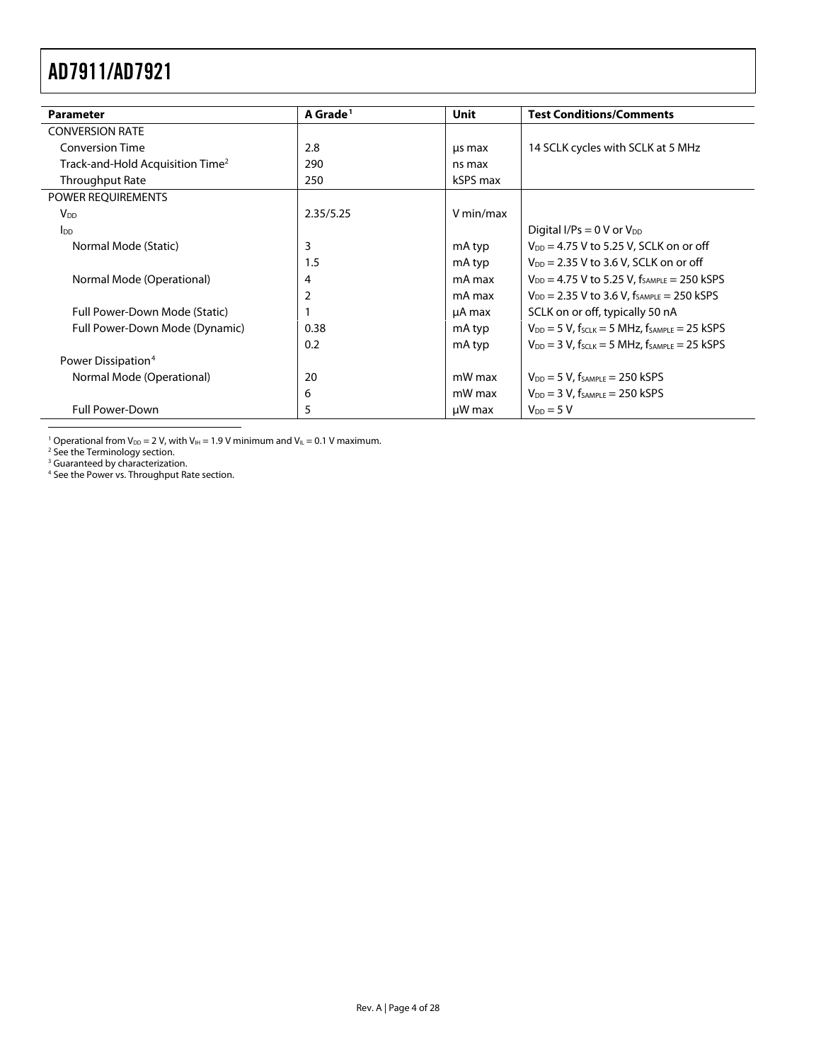<span id="page-3-0"></span>

| <b>Parameter</b>                             | A Grade <sup>1</sup> | Unit      | <b>Test Conditions/Comments</b>                                           |
|----------------------------------------------|----------------------|-----------|---------------------------------------------------------------------------|
| <b>CONVERSION RATE</b>                       |                      |           |                                                                           |
| <b>Conversion Time</b>                       | 2.8                  | us max    | 14 SCLK cycles with SCLK at 5 MHz                                         |
| Track-and-Hold Acquisition Time <sup>2</sup> | 290                  | ns max    |                                                                           |
| Throughput Rate                              | 250                  | kSPS max  |                                                                           |
| POWER REQUIREMENTS                           |                      |           |                                                                           |
| <b>V<sub>DD</sub></b>                        | 2.35/5.25            | V min/max |                                                                           |
| In                                           |                      |           | Digital I/Ps = $0 \text{ V or } V_{DD}$                                   |
| Normal Mode (Static)                         | 3                    | mA typ    | $V_{DD}$ = 4.75 V to 5.25 V, SCLK on or off                               |
|                                              | 1.5                  | mA typ    | $V_{DD}$ = 2.35 V to 3.6 V, SCLK on or off                                |
| Normal Mode (Operational)                    | 4                    | mA max    | $V_{DD} = 4.75$ V to 5.25 V, $f_{SAMPLE} = 250$ kSPS                      |
|                                              | $\overline{2}$       | mA max    | $V_{DD}$ = 2.35 V to 3.6 V, $f_{SAMPLE}$ = 250 kSPS                       |
| Full Power-Down Mode (Static)                |                      | µA max    | SCLK on or off, typically 50 nA                                           |
| Full Power-Down Mode (Dynamic)               | 0.38                 | mA typ    | $V_{DD} = 5 V$ , f <sub>SCLK</sub> = 5 MHz, f <sub>SAMPLE</sub> = 25 kSPS |
|                                              | 0.2                  | mA typ    | $V_{DD}$ = 3 V, $f_{SCLK}$ = 5 MHz, $f_{SAMPLE}$ = 25 kSPS                |
| Power Dissipation <sup>4</sup>               |                      |           |                                                                           |
| Normal Mode (Operational)                    | 20                   | mW max    | $V_{DD} = 5 V$ , f <sub>SAMPLE</sub> = 250 kSPS                           |
|                                              | 6                    | mW max    | $V_{DD} = 3 V$ , f <sub>SAMPLE</sub> = 250 kSPS                           |
| <b>Full Power-Down</b>                       | 5                    | µW max    | $V_{DD} = 5 V$                                                            |

<sup>1</sup> Operational from V<sub>DD</sub> = 2 V, with V<sub>IH</sub> = 1.9 V minimum and V<sub>IL</sub> = 0.1 V maximum.<br><sup>2</sup> See th[e Terminology s](#page-10-1)ection.<br><sup>3</sup> Guaranteed by characterization.<br><sup>4</sup> See th[e Power vs. Throughput Rate s](#page-19-1)ection.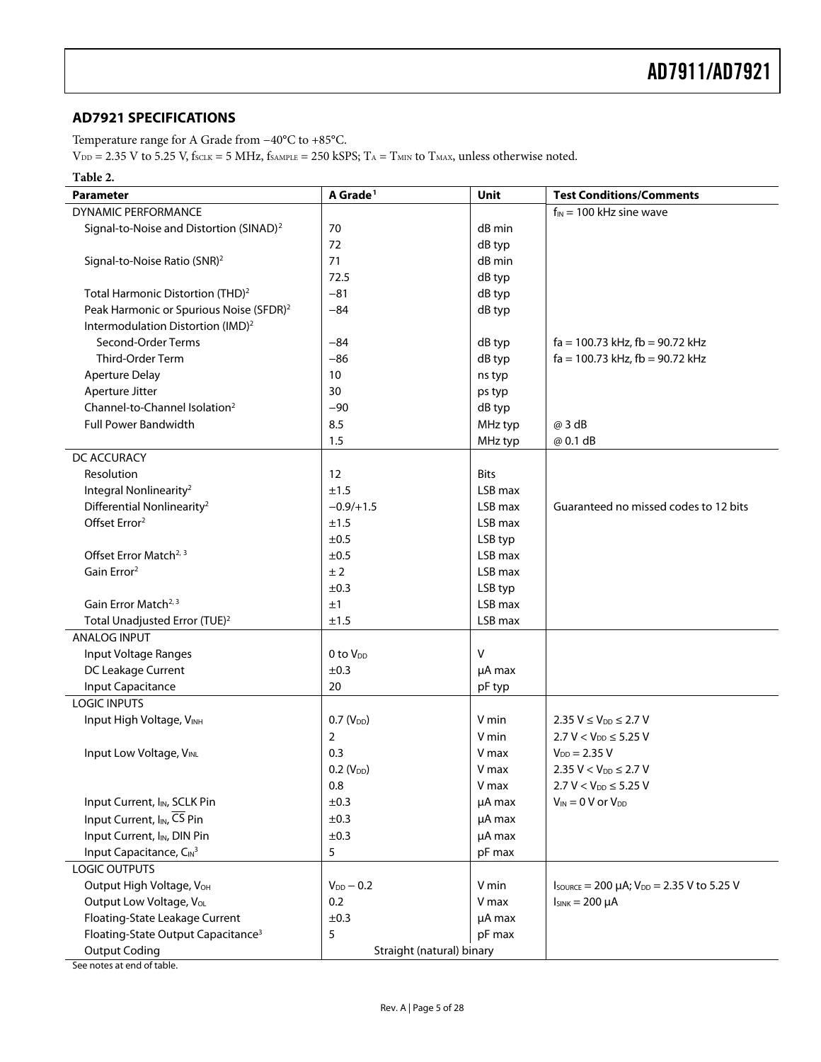#### <span id="page-4-0"></span>**AD7921 SPECIFICATIONS**

Temperature range for A Grade from −40°C to +85°C.

 $V_{DD}$  = 2.35 V to 5.25 V,  $f_{SCLK}$  = 5 MHz,  $f_{SAMPLE}$  = 250 kSPS; T<sub>A</sub> = T<sub>MIN</sub> to T<sub>MAX</sub>, unless otherwise noted.

#### **Table 2.**

| <b>Parameter</b>                                    | A Grade <sup>1</sup>      | <b>Unit</b> | <b>Test Conditions/Comments</b>                                                    |
|-----------------------------------------------------|---------------------------|-------------|------------------------------------------------------------------------------------|
| <b>DYNAMIC PERFORMANCE</b>                          |                           |             | $f_{IN}$ = 100 kHz sine wave                                                       |
| Signal-to-Noise and Distortion (SINAD) <sup>2</sup> | 70                        | dB min      |                                                                                    |
|                                                     | 72                        | dB typ      |                                                                                    |
| Signal-to-Noise Ratio (SNR) <sup>2</sup>            | 71                        | dB min      |                                                                                    |
|                                                     | 72.5                      | dB typ      |                                                                                    |
| Total Harmonic Distortion (THD) <sup>2</sup>        | $-81$                     | dB typ      |                                                                                    |
| Peak Harmonic or Spurious Noise (SFDR) <sup>2</sup> | $-84$                     | dB typ      |                                                                                    |
| Intermodulation Distortion (IMD) <sup>2</sup>       |                           |             |                                                                                    |
| Second-Order Terms                                  | $-84$                     | dB typ      | $fa = 100.73$ kHz, $fb = 90.72$ kHz                                                |
| Third-Order Term                                    | $-86$                     | dB typ      | $fa = 100.73$ kHz, $fb = 90.72$ kHz                                                |
| <b>Aperture Delay</b>                               | 10                        | ns typ      |                                                                                    |
| Aperture Jitter                                     | 30                        | ps typ      |                                                                                    |
| Channel-to-Channel Isolation <sup>2</sup>           | $-90$                     | dB typ      |                                                                                    |
| <b>Full Power Bandwidth</b>                         | 8.5                       | MHz typ     | @ 3 dB                                                                             |
|                                                     | 1.5                       | MHz typ     | @ 0.1 dB                                                                           |
| DC ACCURACY                                         |                           |             |                                                                                    |
| Resolution                                          | 12                        | <b>Bits</b> |                                                                                    |
| Integral Nonlinearity <sup>2</sup>                  | ±1.5                      | LSB max     |                                                                                    |
| Differential Nonlinearity <sup>2</sup>              | $-0.9/+1.5$               | LSB max     | Guaranteed no missed codes to 12 bits                                              |
| Offset Error <sup>2</sup>                           | ±1.5                      | LSB max     |                                                                                    |
|                                                     | ±0.5                      | LSB typ     |                                                                                    |
| Offset Error Match <sup>2, 3</sup>                  | ±0.5                      | LSB max     |                                                                                    |
| Gain Error <sup>2</sup>                             | ±2                        | LSB max     |                                                                                    |
|                                                     | ±0.3                      | LSB typ     |                                                                                    |
| Gain Error Match <sup>2, 3</sup>                    | ±1                        | LSB max     |                                                                                    |
| Total Unadjusted Error (TUE) <sup>2</sup>           | ±1.5                      | LSB max     |                                                                                    |
| <b>ANALOG INPUT</b>                                 |                           |             |                                                                                    |
| Input Voltage Ranges                                | 0 to $V_{DD}$             | V           |                                                                                    |
| DC Leakage Current                                  | ±0.3                      | $\mu$ A max |                                                                                    |
| Input Capacitance                                   | 20                        | pF typ      |                                                                                    |
| <b>LOGIC INPUTS</b>                                 |                           |             |                                                                                    |
| Input High Voltage, VINH                            | $0.7 (V_{DD})$            | V min       | $2.35 V \le V_{DD} \le 2.7 V$                                                      |
|                                                     | $\overline{2}$            | V min       | $2.7 V < V_{DD} \le 5.25 V$                                                        |
| Input Low Voltage, VINL                             | 0.3                       | V max       | $V_{DD} = 2.35 V$                                                                  |
|                                                     | $0.2$ (V <sub>DD</sub> )  | V max       | $2.35 V < V_{DD} \le 2.7 V$                                                        |
|                                                     | $0.8\,$                   | V max       | $2.7 V < V_{DD} \le 5.25 V$                                                        |
| Input Current, I <sub>IN</sub> , SCLK Pin           | ±0.3                      | µA max      | $V_{IN} = 0$ V or $V_{DD}$                                                         |
| Input Current, I <sub>IN</sub> , CS Pin             | ±0.3                      | $\mu$ A max |                                                                                    |
| Input Current, I <sub>IN</sub> , DIN Pin            | ±0.3                      | µA max      |                                                                                    |
| Input Capacitance, CIN3                             | 5                         | pF max      |                                                                                    |
| <b>LOGIC OUTPUTS</b>                                |                           |             |                                                                                    |
| Output High Voltage, V <sub>OH</sub>                | $V_{DD} - 0.2$            | V min       | $I_{\text{SOWRCE}} = 200 \mu\text{A}$ ; $V_{\text{DD}} = 2.35 \text{ V}$ to 5.25 V |
| Output Low Voltage, VoL                             | 0.2                       | V max       | $I_{SINK} = 200 \mu A$                                                             |
| Floating-State Leakage Current                      | ±0.3                      | µA max      |                                                                                    |
| Floating-State Output Capacitance <sup>3</sup>      | 5                         | pF max      |                                                                                    |
| <b>Output Coding</b>                                | Straight (natural) binary |             |                                                                                    |

See notes at end of table.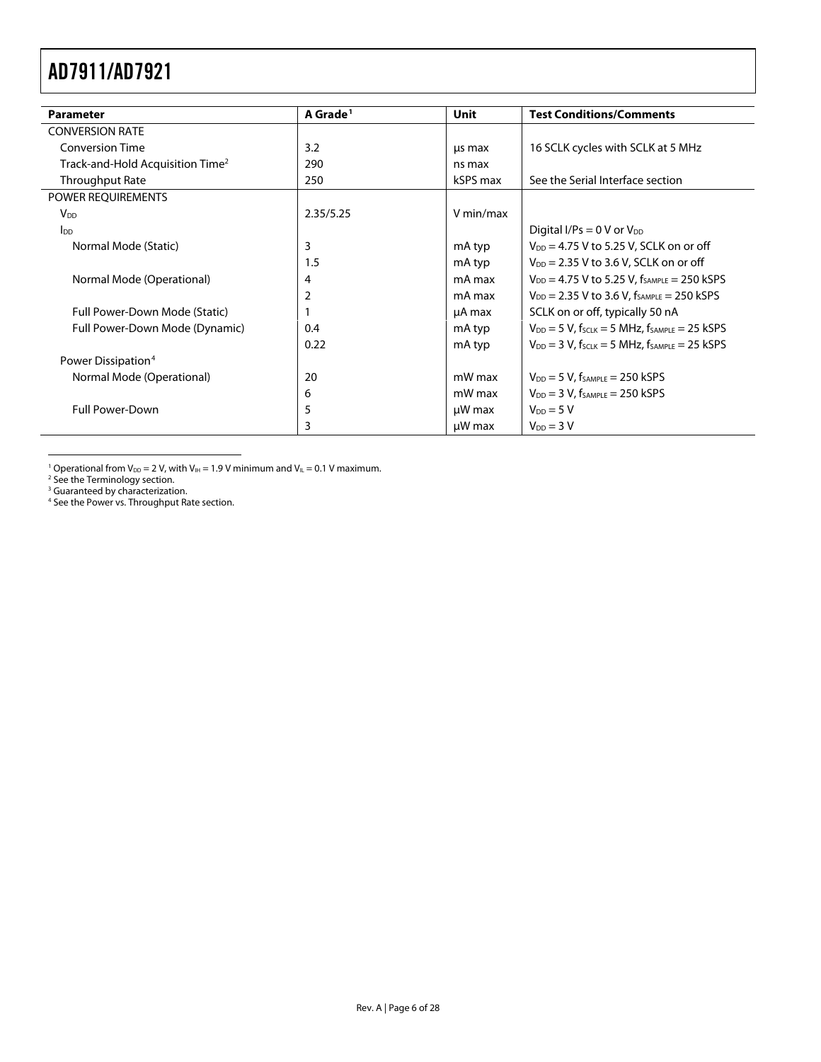<span id="page-5-0"></span>

| <b>Parameter</b>                             | A Grade <sup>1</sup> | Unit        | <b>Test Conditions/Comments</b>                                          |
|----------------------------------------------|----------------------|-------------|--------------------------------------------------------------------------|
| <b>CONVERSION RATE</b>                       |                      |             |                                                                          |
| <b>Conversion Time</b>                       | 3.2                  | us max      | 16 SCLK cycles with SCLK at 5 MHz                                        |
| Track-and-Hold Acquisition Time <sup>2</sup> | 290                  | ns max      |                                                                          |
| <b>Throughput Rate</b>                       | 250                  | kSPS max    | See the Serial Interface section                                         |
| POWER REQUIREMENTS                           |                      |             |                                                                          |
| $V_{DD}$                                     | 2.35/5.25            | V min/max   |                                                                          |
| Ino                                          |                      |             | Digital I/Ps = $0 \text{ V or } V_{DD}$                                  |
| Normal Mode (Static)                         | 3                    | mA typ      | $V_{DD}$ = 4.75 V to 5.25 V, SCLK on or off                              |
|                                              | 1.5                  | mA typ      | $V_{DD}$ = 2.35 V to 3.6 V, SCLK on or off                               |
| Normal Mode (Operational)                    | 4                    | mA max      | $V_{DD} = 4.75$ V to 5.25 V, $f_{SAMPLE} = 250$ kSPS                     |
|                                              | $\overline{2}$       | mA max      | $V_{DD}$ = 2.35 V to 3.6 V, $f_{SAMPLE}$ = 250 kSPS                      |
| Full Power-Down Mode (Static)                |                      | µA max      | SCLK on or off, typically 50 nA                                          |
| Full Power-Down Mode (Dynamic)               | 0.4                  | mA typ      | $V_{DD}$ = 5 V, f <sub>SCLK</sub> = 5 MHz, f <sub>SAMPLE</sub> = 25 kSPS |
|                                              | 0.22                 | mA typ      | $V_{DD}$ = 3 V, $f_{SCLK}$ = 5 MHz, $f_{SAMPLE}$ = 25 kSPS               |
| Power Dissipation <sup>4</sup>               |                      |             |                                                                          |
| Normal Mode (Operational)                    | 20                   | mW max      | $V_{DD} = 5 V$ , f <sub>SAMPLE</sub> = 250 kSPS                          |
|                                              | 6                    | mW max      | $V_{DD} = 3 V$ , f <sub>SAMPLE</sub> = 250 kSPS                          |
| <b>Full Power-Down</b>                       | 5                    | $\mu$ W max | $V_{DD} = 5 V$                                                           |
|                                              | 3                    | $\mu$ W max | $V_{DD} = 3 V$                                                           |

<sup>1</sup> Operational from V<sub>DD</sub> = 2 V, with V<sub>IH</sub> = 1.9 V minimum and V<sub>IL</sub> = 0.1 V maximum.<br><sup>2</sup> See th[e Terminology s](#page-10-1)ection.<br><sup>3</sup> Guaranteed by characterization.<br><sup>4</sup> See the [Power vs. Throughput Rate s](#page-19-1)ection.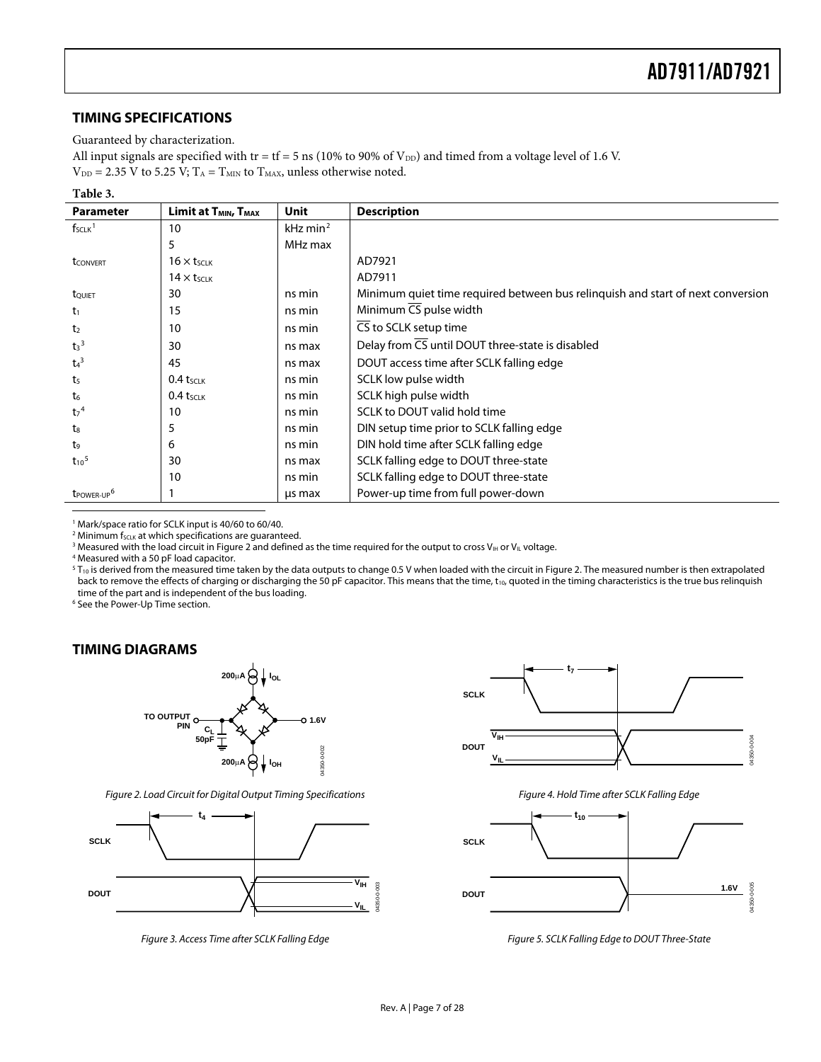#### <span id="page-6-2"></span><span id="page-6-1"></span><span id="page-6-0"></span>**TIMING SPECIFICATIONS**

#### Guaranteed by characterization.

All input signals are specified with tr = tf = 5 ns (10% to 90% of  $V_{DD}$ ) and timed from a voltage level of 1.6 V.

 $V_{DD} = 2.35$  V to 5.25 V;  $T_A = T_{MIN}$  to  $T_{MAX}$ , unless otherwise noted.

#### **Table 3.**

| <b>Parameter</b>                   | <b>Limit at T<sub>MIN</sub></b> , T <sub>MAX</sub> | Unit                   | <b>Description</b>                                                              |
|------------------------------------|----------------------------------------------------|------------------------|---------------------------------------------------------------------------------|
| $f_{SCLK}$ <sup>1</sup>            | 10                                                 | $kHz$ min <sup>2</sup> |                                                                                 |
|                                    | 5                                                  | MHz max                |                                                                                 |
| tconvert                           | $16 \times t$                                      |                        | AD7921                                                                          |
|                                    | $14 \times t$ <sub>SCLK</sub>                      |                        | AD7911                                                                          |
| tQUIET                             | 30                                                 | ns min                 | Minimum quiet time required between bus relinguish and start of next conversion |
| $t_1$                              | 15                                                 | ns min                 | Minimum CS pulse width                                                          |
| t <sub>2</sub>                     | 10                                                 | ns min                 | CS to SCLK setup time                                                           |
| $t_3$ <sup>3</sup>                 | 30                                                 | ns max                 | Delay from CS until DOUT three-state is disabled                                |
| $t_4$ <sup>3</sup>                 | 45                                                 | ns max                 | DOUT access time after SCLK falling edge                                        |
| t <sub>5</sub>                     | $0.4$ tsclk                                        | ns min                 | SCLK low pulse width                                                            |
| t6                                 | $0.4$ tsclk                                        | ns min                 | SCLK high pulse width                                                           |
| t <sub>7</sub> <sup>4</sup>        | 10                                                 | ns min                 | SCLK to DOUT valid hold time                                                    |
| t.                                 | 5                                                  | ns min                 | DIN setup time prior to SCLK falling edge                                       |
| t9                                 | 6                                                  | ns min                 | DIN hold time after SCLK falling edge                                           |
| $t_{10}$ <sup>5</sup>              | 30                                                 | ns max                 | SCLK falling edge to DOUT three-state                                           |
|                                    | 10                                                 | ns min                 | SCLK falling edge to DOUT three-state                                           |
| t <sub>POWER-UP</sub> <sup>6</sup> |                                                    | us max                 | Power-up time from full power-down                                              |
|                                    |                                                    |                        |                                                                                 |

<sup>1</sup> Mark/space ratio for SCLK input is 40/60 to 60/40.<br><sup>2</sup> Minimum feavest which specifications are quarante

 $2$  Minimum f<sub>SCLK</sub> at which specifications are guaranteed.

<sup>3</sup> Measured with the load circuit in Figure 2 and defined as the time required for the output to cross V<sub>IH</sub> or V<sub>IL</sub> voltage.

Measured with a 50 pF load capacitor.

 $^5$  T<sub>10</sub> is derived from the measured time taken by the data outputs to change 0.5 V when loaded with the circuit in Figure 2. The measured number is then extrapolated back to remove the effects of charging or discharging the 50 pF capacitor. This means that the time, t<sub>10</sub>, quoted in the timing characteristics is the true bus relinquish time of the part and is independent of the bus loading.

<sup>6</sup> See th[e Power-Up Time s](#page-18-0)ection.

#### **TIMING DIAGRAMS**



Figure 2. Load Circuit for Digital Output Timing Specifications



Figure 3. Access Time after SCLK Falling Edge



Figure 4. Hold Time after SCLK Falling Edge



Figure 5. SCLK Falling Edge to DOUT Three-State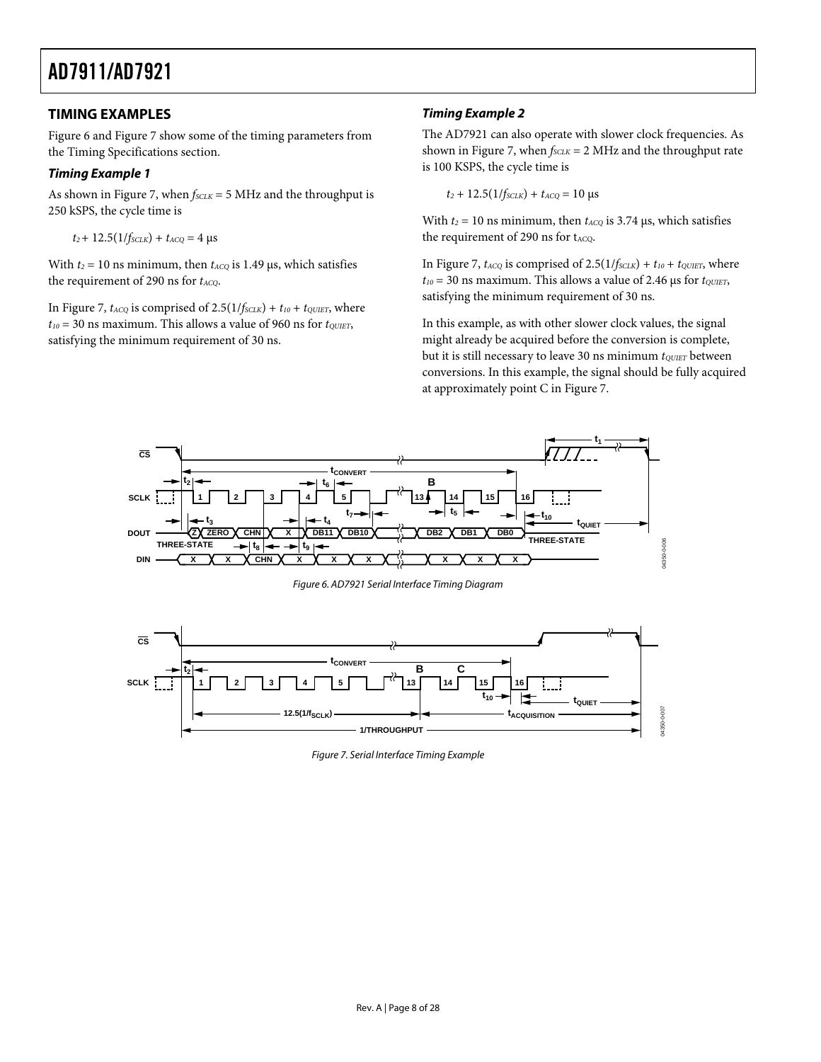#### <span id="page-7-0"></span>**TIMING EXAMPLES**

[Figure 6](#page-7-1) and [Figure 7](#page-7-2) show some of the timing parameters from the [Timing Specifications](#page-6-2) section.

#### **Timing Example 1**

As shown in [Figure 7](#page-7-2), when  $f_{SCLK} = 5$  MHz and the throughput is 250 kSPS, the cycle time is

 $t_2$ + 12.5(1/*f<sub>SCLK</sub>*) +  $t_{ACQ}$  = 4 μs

With  $t_2 = 10$  ns minimum, then  $t_{ACQ}$  is 1.49 μs, which satisfies the requirement of 290 ns for *t<sub>ACQ</sub>*.

In [Figure 7](#page-7-2),  $t_{ACQ}$  is comprised of 2.5( $1/f_{SCLK}$ ) +  $t_{10}$  +  $t_{QUET}$ , where  $t_{10}$  = 30 ns maximum. This allows a value of 960 ns for  $t_{\text{QUIET}}$ , satisfying the minimum requirement of 30 ns.

#### **Timing Example 2**

The AD7921 can also operate with slower clock frequencies. As shown in [Figure 7](#page-7-2), when  $f_{SCLK} = 2$  MHz and the throughput rate is 100 KSPS, the cycle time is

 $t_2 + 12.5(1/f_{SCLK}) + t_{ACQ} = 10 \text{ }\mu\text{s}$ 

With  $t_2 = 10$  ns minimum, then  $t_{ACQ}$  is 3.74  $\mu$ s, which satisfies the requirement of 290 ns for tACQ.

In [Figure 7](#page-7-2),  $t_{ACQ}$  is comprised of  $2.5(1/f_{SCLK}) + t_{10} + t_{QUIET}$ , where  $t_{10}$  = 30 ns maximum. This allows a value of 2.46 µs for  $t_{\text{QUIET}}$ , satisfying the minimum requirement of 30 ns.

In this example, as with other slower clock values, the signal might already be acquired before the conversion is complete, but it is still necessary to leave 30 ns minimum  $t_{\text{QUE}T}$  between conversions. In this example, the signal should be fully acquired at approximately point C in [Figure 7](#page-7-2).



Figure 6. AD7921 Serial Interface Timing Diagram

<span id="page-7-2"></span><span id="page-7-1"></span>

Figure 7. Serial Interface Timing Example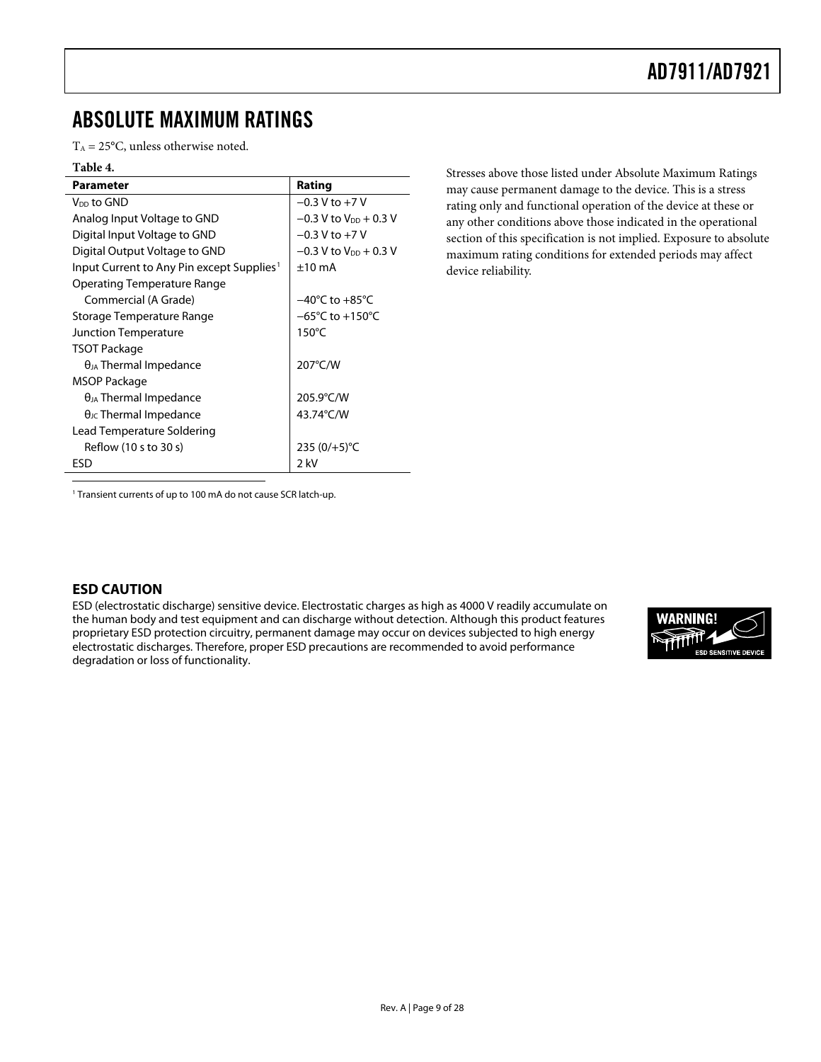### <span id="page-8-1"></span><span id="page-8-0"></span>ABSOLUTE MAXIMUM RATINGS

 $T_A = 25$ °C, unless otherwise noted.

#### **Table 4.**

| <b>Parameter</b>                                      | Rating                              |
|-------------------------------------------------------|-------------------------------------|
| V <sub>DD</sub> to GND                                | $-0.3$ V to $+7$ V                  |
| Analog Input Voltage to GND                           | $-0.3$ V to V <sub>DD</sub> + 0.3 V |
| Digital Input Voltage to GND                          | $-0.3$ V to $+7$ V                  |
| Digital Output Voltage to GND                         | $-0.3$ V to V <sub>DD</sub> + 0.3 V |
| Input Current to Any Pin except Supplies <sup>1</sup> | $±10$ mA                            |
| Operating Temperature Range                           |                                     |
| Commercial (A Grade)                                  | $-40^{\circ}$ C to $+85^{\circ}$ C  |
| Storage Temperature Range                             | $-65^{\circ}$ C to $+150^{\circ}$ C |
| Junction Temperature                                  | $150^{\circ}$ C                     |
| TSOT Package                                          |                                     |
| $\theta_{JA}$ Thermal Impedance                       | 207°C/W                             |
| MSOP Package                                          |                                     |
| $\theta_{JA}$ Thermal Impedance                       | 205.9°C/W                           |
| $\theta_{\text{JC}}$ Thermal Impedance                | 43.74°C/W                           |
| Lead Temperature Soldering                            |                                     |
| Reflow (10 s to 30 s)                                 | 235 $(0/+5)$ °C                     |
| ESD                                                   | 2 kV                                |
|                                                       |                                     |

Stresses above those listed under Absolute Maximum Ratings may cause permanent damage to the device. This is a stress rating only and functional operation of the device at these or any other conditions above those indicated in the operational section of this specification is not implied. Exposure to absolute maximum rating conditions for extended periods may affect device reliability.

<sup>1</sup> Transient currents of up to 100 mA do not cause SCR latch-up.

#### **ESD CAUTION**

ESD (electrostatic discharge) sensitive device. Electrostatic charges as high as 4000 V readily accumulate on the human body and test equipment and can discharge without detection. Although this product features proprietary ESD protection circuitry, permanent damage may occur on devices subjected to high energy electrostatic discharges. Therefore, proper ESD precautions are recommended to avoid performance degradation or loss of functionality.

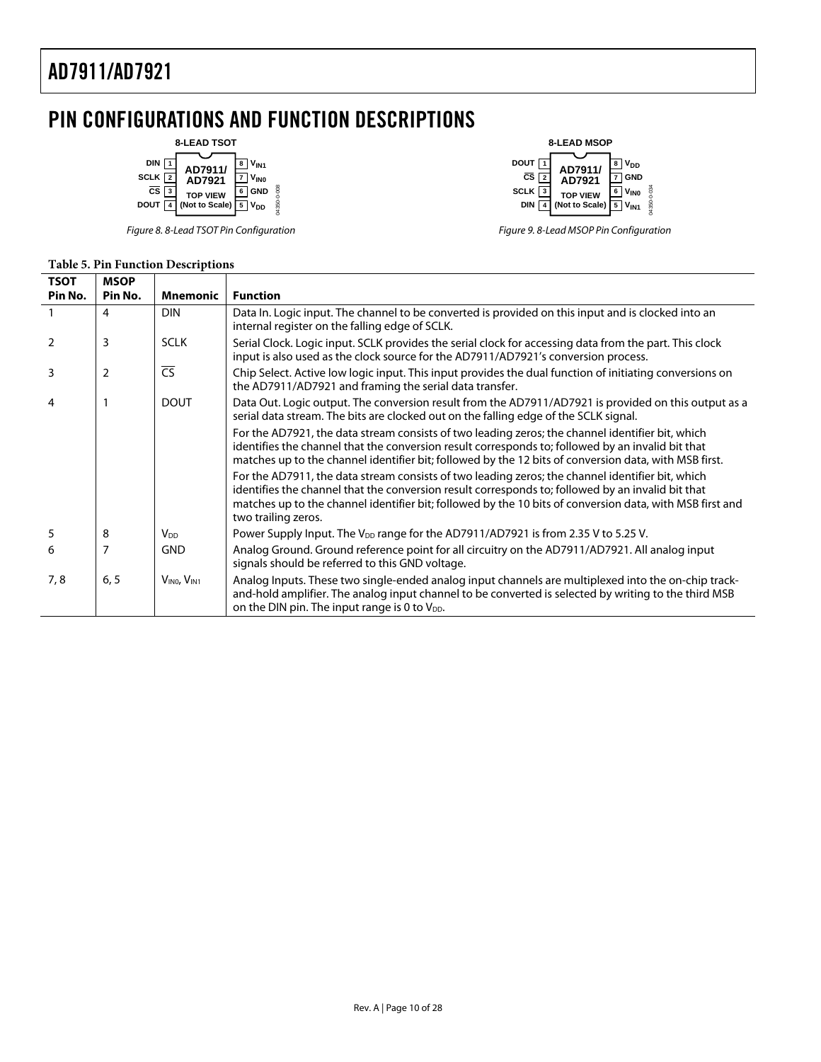### <span id="page-9-0"></span>PIN CONFIGURATIONS AND FUNCTION DESCRIPTIONS



Figure 8. 8-Lead TSOT Pin Configuration



Figure 9. 8-Lead MSOP Pin Configuration

#### **Table 5. Pin Function Descriptions**

| <b>TSOT</b><br>Pin No. | <b>MSOP</b><br>Pin No. | Mnemonic                            | <b>Function</b>                                                                                                                                                                                                                                                                                                                          |
|------------------------|------------------------|-------------------------------------|------------------------------------------------------------------------------------------------------------------------------------------------------------------------------------------------------------------------------------------------------------------------------------------------------------------------------------------|
|                        | 4                      | <b>DIN</b>                          | Data In. Logic input. The channel to be converted is provided on this input and is clocked into an<br>internal register on the falling edge of SCLK.                                                                                                                                                                                     |
| $\mathcal{P}$          | 3                      | <b>SCLK</b>                         | Serial Clock. Logic input. SCLK provides the serial clock for accessing data from the part. This clock<br>input is also used as the clock source for the AD7911/AD7921's conversion process.                                                                                                                                             |
| 3                      | 2                      | $\overline{\text{CS}}$              | Chip Select. Active low logic input. This input provides the dual function of initiating conversions on<br>the AD7911/AD7921 and framing the serial data transfer.                                                                                                                                                                       |
| 4                      |                        | <b>DOUT</b>                         | Data Out. Logic output. The conversion result from the AD7911/AD7921 is provided on this output as a<br>serial data stream. The bits are clocked out on the falling edge of the SCLK signal.                                                                                                                                             |
|                        |                        |                                     | For the AD7921, the data stream consists of two leading zeros; the channel identifier bit, which<br>identifies the channel that the conversion result corresponds to; followed by an invalid bit that<br>matches up to the channel identifier bit; followed by the 12 bits of conversion data, with MSB first.                           |
|                        |                        |                                     | For the AD7911, the data stream consists of two leading zeros; the channel identifier bit, which<br>identifies the channel that the conversion result corresponds to; followed by an invalid bit that<br>matches up to the channel identifier bit; followed by the 10 bits of conversion data, with MSB first and<br>two trailing zeros. |
| 5                      | 8                      | V <sub>DD</sub>                     | Power Supply Input. The $V_{DD}$ range for the AD7911/AD7921 is from 2.35 V to 5.25 V.                                                                                                                                                                                                                                                   |
| 6                      | 7                      | <b>GND</b>                          | Analog Ground. Ground reference point for all circuitry on the AD7911/AD7921. All analog input<br>signals should be referred to this GND voltage.                                                                                                                                                                                        |
| 7,8                    | 6, 5                   | $V_{\text{INO}}$ , $V_{\text{INI}}$ | Analog Inputs. These two single-ended analog input channels are multiplexed into the on-chip track-<br>and-hold amplifier. The analog input channel to be converted is selected by writing to the third MSB<br>on the DIN pin. The input range is 0 to V <sub>DD</sub> .                                                                 |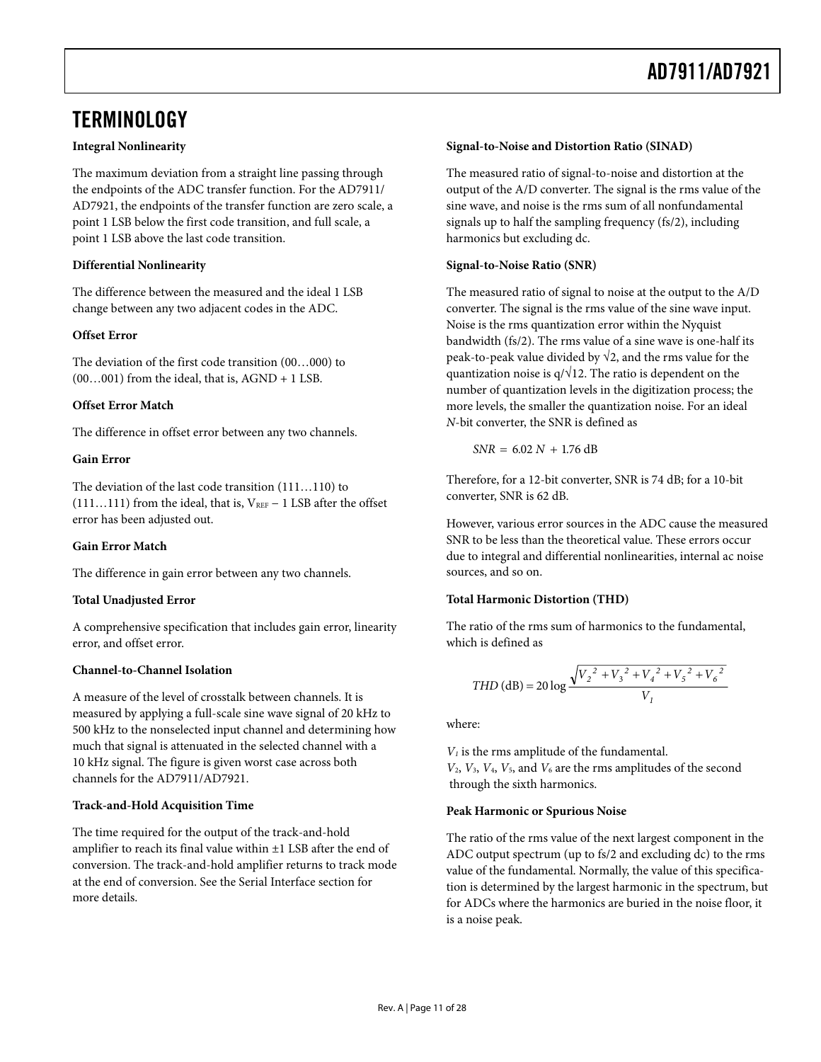### <span id="page-10-1"></span><span id="page-10-0"></span>**TERMINOLOGY**

#### **Integral Nonlinearity**

The maximum deviation from a straight line passing through the endpoints of the ADC transfer function. For the AD7911/ AD7921, the endpoints of the transfer function are zero scale, a point 1 LSB below the first code transition, and full scale, a point 1 LSB above the last code transition.

#### **Differential Nonlinearity**

The difference between the measured and the ideal 1 LSB change between any two adjacent codes in the ADC.

#### **Offset Error**

The deviation of the first code transition (00…000) to  $(00...001)$  from the ideal, that is,  $AGND + 1$  LSB.

#### **Offset Error Match**

The difference in offset error between any two channels.

#### **Gain Error**

The deviation of the last code transition (111…110) to (111…111) from the ideal, that is,  $V_{REF}$  – 1 LSB after the offset error has been adjusted out.

#### **Gain Error Match**

The difference in gain error between any two channels.

#### **Total Unadjusted Error**

A comprehensive specification that includes gain error, linearity error, and offset error.

#### **Channel-to-Channel Isolation**

A measure of the level of crosstalk between channels. It is measured by applying a full-scale sine wave signal of 20 kHz to 500 kHz to the nonselected input channel and determining how much that signal is attenuated in the selected channel with a 10 kHz signal. The figure is given worst case across both channels for the AD7911/AD7921.

#### **Track-and-Hold Acquisition Time**

The time required for the output of the track-and-hold amplifier to reach its final value within ±1 LSB after the end of conversion. The track-and-hold amplifier returns to track mode at the end of conversion. See the [Serial Interface](#page-20-1) section for more details.

#### **Signal-to-Noise and Distortion Ratio (SINAD)**

The measured ratio of signal-to-noise and distortion at the output of the A/D converter. The signal is the rms value of the sine wave, and noise is the rms sum of all nonfundamental signals up to half the sampling frequency (fs/2), including harmonics but excluding dc.

#### **Signal-to-Noise Ratio (SNR)**

The measured ratio of signal to noise at the output to the A/D converter. The signal is the rms value of the sine wave input. Noise is the rms quantization error within the Nyquist bandwidth (fs/2). The rms value of a sine wave is one-half its peak-to-peak value divided by  $\sqrt{2}$ , and the rms value for the quantization noise is  $q/\sqrt{12}$ . The ratio is dependent on the number of quantization levels in the digitization process; the more levels, the smaller the quantization noise. For an ideal *N*-bit converter, the SNR is defined as

 $SNR = 6.02 N + 1.76 dB$ 

Therefore, for a 12-bit converter, SNR is 74 dB; for a 10-bit converter, SNR is 62 dB.

However, various error sources in the ADC cause the measured SNR to be less than the theoretical value. These errors occur due to integral and differential nonlinearities, internal ac noise sources, and so on.

#### **Total Harmonic Distortion (THD)**

The ratio of the rms sum of harmonics to the fundamental, which is defined as

$$
THD (dB) = 20 \log \frac{\sqrt{V_2^2 + V_3^2 + V_4^2 + V_5^2 + V_6^2}}{V_1}
$$

where:

*V1* is the rms amplitude of the fundamental. *V*2, *V*3, *V*4, *V*5, and *V*6 are the rms amplitudes of the second through the sixth harmonics.

#### **Peak Harmonic or Spurious Noise**

The ratio of the rms value of the next largest component in the ADC output spectrum (up to fs/2 and excluding dc) to the rms value of the fundamental. Normally, the value of this specification is determined by the largest harmonic in the spectrum, but for ADCs where the harmonics are buried in the noise floor, it is a noise peak.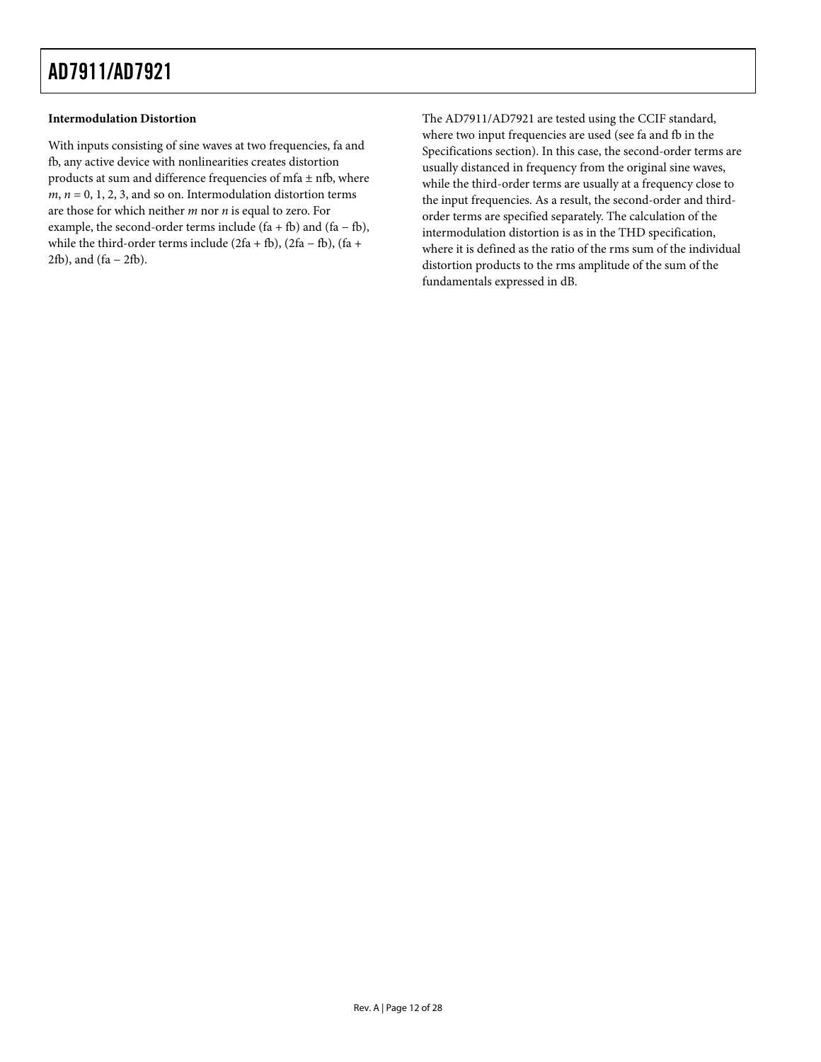#### **Intermodulation Distortion**

With inputs consisting of sine waves at two frequencies, fa and fb, any active device with nonlinearities creates distortion products at sum and difference frequencies of mfa  $\pm$  nfb, where  $m, n = 0, 1, 2, 3$ , and so on. Intermodulation distortion terms are those for which neither *m* nor *n* is equal to zero. For example, the second-order terms include (fa + fb) and (fa – fb), while the third-order terms include (2fa + fb), (2fa − fb), (fa + 2fb), and (fa − 2fb).

The AD7911/AD7921 are tested using the CCIF standard, where two input frequencies are used (see fa and fb in the [Specifications](#page-2-1) section). In this case, the second-order terms are usually distanced in frequency from the original sine waves, while the third-order terms are usually at a frequency close to the input frequencies. As a result, the second-order and thirdorder terms are specified separately. The calculation of the intermodulation distortion is as in the THD specification, where it is defined as the ratio of the rms sum of the individual distortion products to the rms amplitude of the sum of the fundamentals expressed in dB.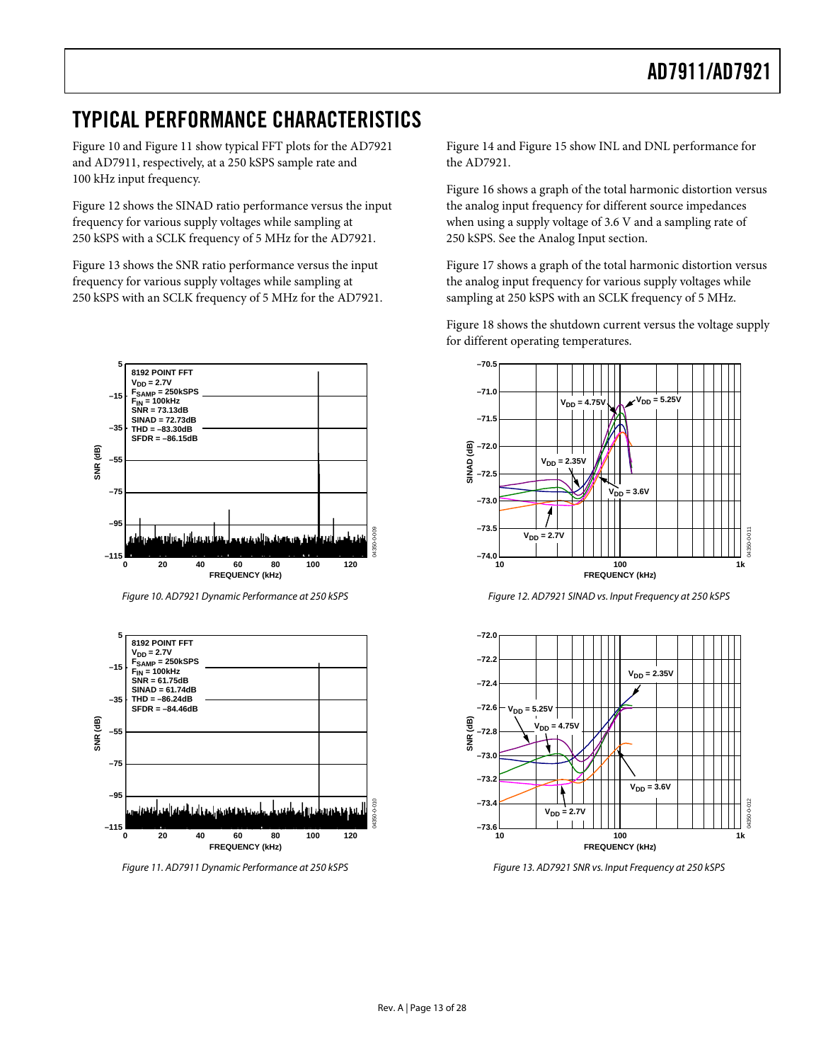### <span id="page-12-0"></span>TYPICAL PERFORMANCE CHARACTERISTICS

[Figure 10](#page-12-1) and [Figure 11](#page-12-2) show typical FFT plots for the AD7921 and AD7911, respectively, at a 250 kSPS sample rate and 100 kHz input frequency.

[Figure 12](#page-12-1) shows the SINAD ratio performance versus the input frequency for various supply voltages while sampling at 250 kSPS with a SCLK frequency of 5 MHz for the AD7921.

[Figure 13](#page-12-2) shows the SNR ratio performance versus the input frequency for various supply voltages while sampling at 250 kSPS with an SCLK frequency of 5 MHz for the AD7921.



Figure 10. AD7921 Dynamic Performance at 250 kSPS

<span id="page-12-1"></span>

<span id="page-12-2"></span>Figure 11. AD7911 Dynamic Performance at 250 kSPS

[Figure 14](#page-13-0) and [Figure 15](#page-13-1) show INL and DNL performance for the AD7921.

[Figure 16](#page-13-2) shows a graph of the total harmonic distortion versus the analog input frequency for different source impedances when using a supply voltage of 3.6 V and a sampling rate of 250 kSPS. See the [Analog Input](#page-15-2) section.

[Figure 17](#page-13-0) shows a graph of the total harmonic distortion versus the analog input frequency for various supply voltages while sampling at 250 kSPS with an SCLK frequency of 5 MHz.

[Figure 18](#page-13-1) shows the shutdown current versus the voltage supply for different operating temperatures.



Figure 12. AD7921 SINAD vs. Input Frequency at 250 kSPS



Figure 13. AD7921 SNR vs. Input Frequency at 250 kSPS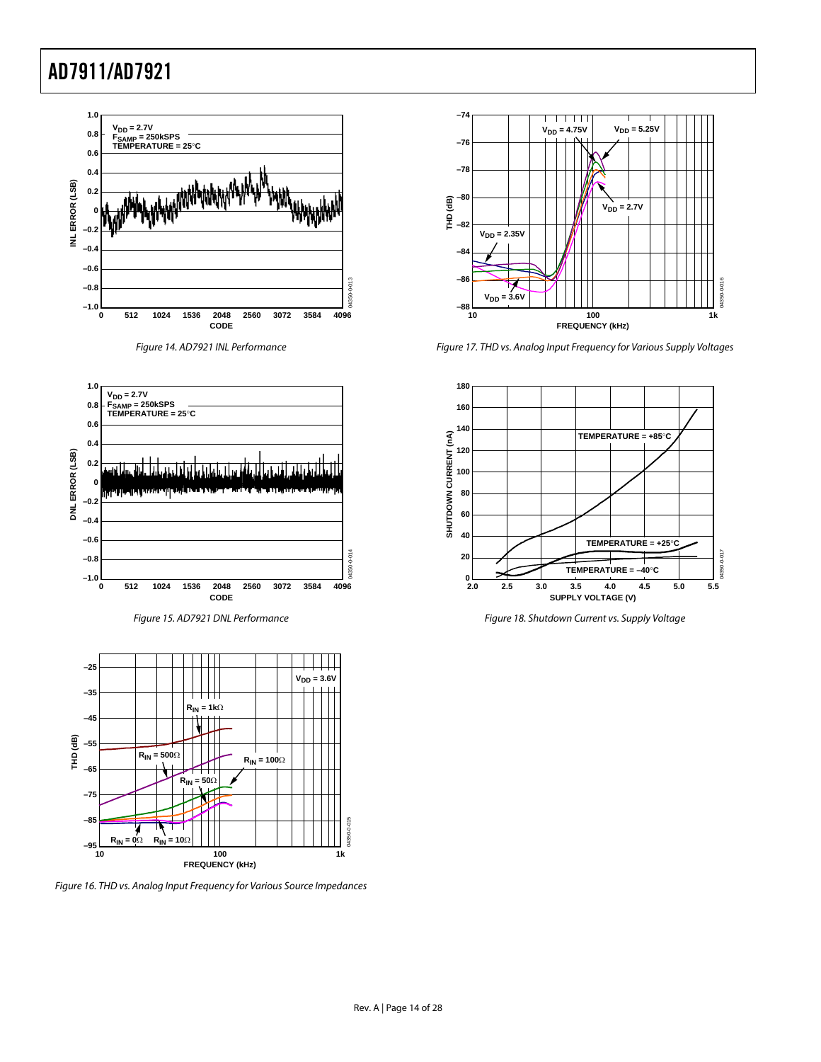

<span id="page-13-0"></span>

Figure 15. AD7921 DNL Performance

<span id="page-13-1"></span>

<span id="page-13-2"></span>Figure 16. THD vs. Analog Input Frequency for Various Source Impedances



Figure 17. THD vs. Analog Input Frequency for Various Supply Voltages



Figure 18. Shutdown Current vs. Supply Voltage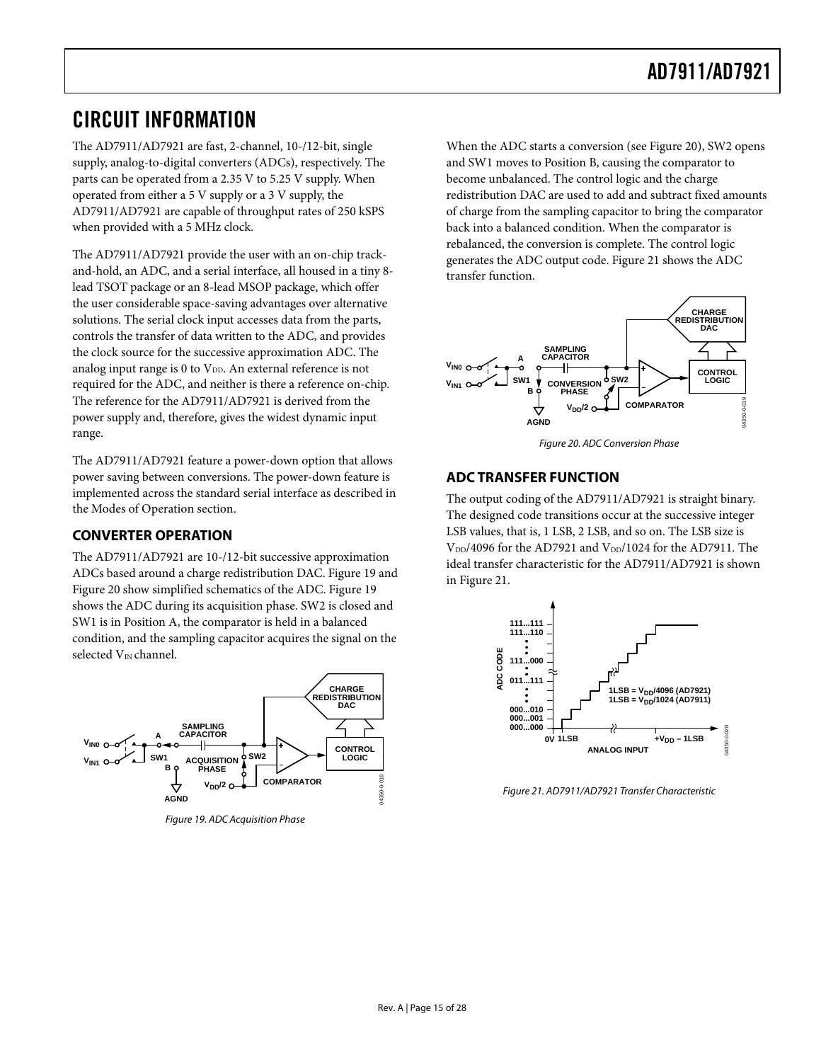### <span id="page-14-1"></span><span id="page-14-0"></span>CIRCUIT INFORMATION

The AD7911/AD7921 are fast, 2-channel, 10-/12-bit, single supply, analog-to-digital converters (ADCs), respectively. The parts can be operated from a 2.35 V to 5.25 V supply. When operated from either a 5 V supply or a 3 V supply, the AD7911/AD7921 are capable of throughput rates of 250 kSPS when provided with a 5 MHz clock.

The AD7911/AD7921 provide the user with an on-chip trackand-hold, an ADC, and a serial interface, all housed in a tiny 8 lead TSOT package or an 8-lead MSOP package, which offer the user considerable space-saving advantages over alternative solutions. The serial clock input accesses data from the parts, controls the transfer of data written to the ADC, and provides the clock source for the successive approximation ADC. The analog input range is  $0$  to  $V_{DD}$ . An external reference is not required for the ADC, and neither is there a reference on-chip. The reference for the AD7911/AD7921 is derived from the power supply and, therefore, gives the widest dynamic input range.

<span id="page-14-3"></span>The AD7911/AD7921 feature a power-down option that allows power saving between conversions. The power-down feature is implemented across the standard serial interface as described in the [Modes of Operation](#page-17-2) section.

#### **CONVERTER OPERATION**

The AD7911/AD7921 are 10-/12-bit successive approximation ADCs based around a charge redistribution DAC. [Figure 19](#page-14-2) and [Figure 20](#page-14-3) show simplified schematics of the ADC. [Figure 19](#page-14-2) shows the ADC during its acquisition phase. SW2 is closed and SW1 is in Position A, the comparator is held in a balanced condition, and the sampling capacitor acquires the signal on the selected  $V_{\text{IN}}$  channel.

<span id="page-14-4"></span><span id="page-14-2"></span>

Figure 19. ADC Acquisition Phase

When the ADC starts a conversion (see [Figure 20](#page-14-3)), SW2 opens and SW1 moves to Position B, causing the comparator to become unbalanced. The control logic and the charge redistribution DAC are used to add and subtract fixed amounts of charge from the sampling capacitor to bring the comparator back into a balanced condition. When the comparator is rebalanced, the conversion is complete. The control logic generates the ADC output code. [Figure 21](#page-14-4) shows the ADC transfer function.



Figure 20. ADC Conversion Phase

#### **ADC TRANSFER FUNCTION**

The output coding of the AD7911/AD7921 is straight binary. The designed code transitions occur at the successive integer LSB values, that is, 1 LSB, 2 LSB, and so on. The LSB size is  $V_{DD}/4096$  for the AD7921 and  $V_{DD}/1024$  for the AD7911. The ideal transfer characteristic for the AD7911/AD7921 is shown in [Figure 21](#page-14-4).



Figure 21. AD7911/AD7921 Transfer Characteristic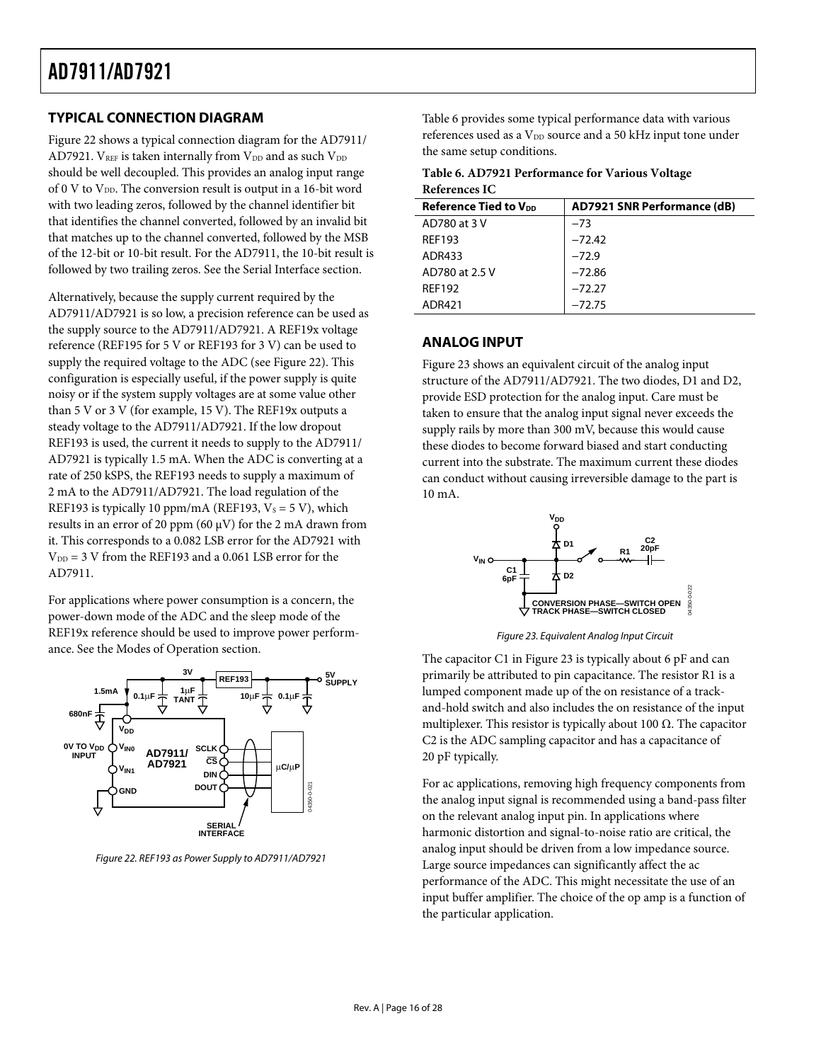#### <span id="page-15-1"></span><span id="page-15-0"></span>**TYPICAL CONNECTION DIAGRAM**

<span id="page-15-4"></span>[Figure 22](#page-15-3) shows a typical connection diagram for the AD7911/ AD7921.  $V_{REF}$  is taken internally from  $V_{DD}$  and as such  $V_{DD}$ should be well decoupled. This provides an analog input range of 0 V to  $V_{DD}$ . The conversion result is output in a 16-bit word with two leading zeros, followed by the channel identifier bit that identifies the channel converted, followed by an invalid bit that matches up to the channel converted, followed by the MSB of the 12-bit or 10-bit result. For the AD7911, the 10-bit result is followed by two trailing zeros. See the [Serial Interface](#page-20-1) section.

<span id="page-15-2"></span>Alternatively, because the supply current required by the AD7911/AD7921 is so low, a precision reference can be used as the supply source to the AD7911/AD7921. A REF19x voltage reference (REF195 for 5 V or REF193 for 3 V) can be used to supply the required voltage to the ADC (see [Figure 22](#page-15-3)). This configuration is especially useful, if the power supply is quite noisy or if the system supply voltages are at some value other than 5 V or 3 V (for example, 15 V). The REF19x outputs a steady voltage to the AD7911/AD7921. If the low dropout REF193 is used, the current it needs to supply to the AD7911/ AD7921 is typically 1.5 mA. When the ADC is converting at a rate of 250 kSPS, the REF193 needs to supply a maximum of 2 mA to the AD7911/AD7921. The load regulation of the REF193 is typically 10 ppm/mA (REF193,  $V_s = 5 V$ ), which results in an error of 20 ppm (60  $\mu$ V) for the 2 mA drawn from it. This corresponds to a 0.082 LSB error for the AD7921 with  $V_{DD} = 3$  V from the REF193 and a 0.061 LSB error for the AD7911.

For applications where power consumption is a concern, the power-down mode of the ADC and the sleep mode of the REF19x reference should be used to improve power performance. See the [Modes of Operation](#page-17-2) section.

<span id="page-15-5"></span>

<span id="page-15-3"></span>Figure 22. REF193 as Power Supply to AD7911/AD7921

[Table 6](#page-15-4) provides some typical performance data with various references used as a  $V_{DD}$  source and a 50 kHz input tone under the same setup conditions.

| Table 6. AD7921 Performance for Various Voltage |
|-------------------------------------------------|
| References IC                                   |

| <b>Reference Tied to VDD</b> | <b>AD7921 SNR Performance (dB)</b> |  |  |  |
|------------------------------|------------------------------------|--|--|--|
| AD780 at 3 V                 | $-73$                              |  |  |  |
| <b>REF193</b>                | $-72.42$                           |  |  |  |
| ADR433                       | $-72.9$                            |  |  |  |
| AD780 at 2.5 V               | $-72.86$                           |  |  |  |
| <b>REF192</b>                | $-72.27$                           |  |  |  |
| ADR421                       | $-72.75$                           |  |  |  |

#### **ANALOG INPUT**

[Figure 23](#page-15-5) shows an equivalent circuit of the analog input structure of the AD7911/AD7921. The two diodes, D1 and D2, provide ESD protection for the analog input. Care must be taken to ensure that the analog input signal never exceeds the supply rails by more than 300 mV, because this would cause these diodes to become forward biased and start conducting current into the substrate. The maximum current these diodes can conduct without causing irreversible damage to the part is 10 mA.



Figure 23. Equivalent Analog Input Circuit

The capacitor C1 in [Figure 23](#page-15-5) is typically about 6 pF and can primarily be attributed to pin capacitance. The resistor R1 is a lumped component made up of the on resistance of a trackand-hold switch and also includes the on resistance of the input multiplexer. This resistor is typically about 100  $\Omega$ . The capacitor C2 is the ADC sampling capacitor and has a capacitance of 20 pF typically.

For ac applications, removing high frequency components from the analog input signal is recommended using a band-pass filter on the relevant analog input pin. In applications where harmonic distortion and signal-to-noise ratio are critical, the analog input should be driven from a low impedance source. Large source impedances can significantly affect the ac performance of the ADC. This might necessitate the use of an input buffer amplifier. The choice of the op amp is a function of the particular application.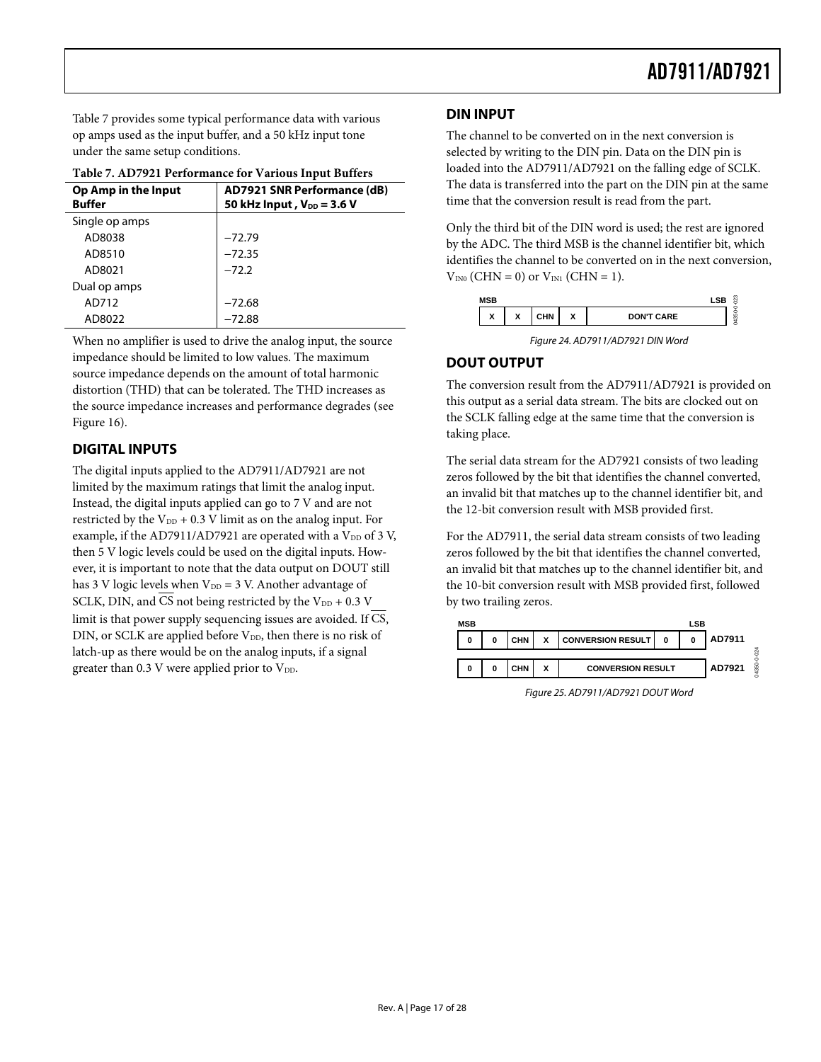<span id="page-16-1"></span><span id="page-16-0"></span>[Table 7](#page-16-2) provides some typical performance data with various **DIN INPUT** op amps used as the input buffer, and a 50 kHz input tone under the same setup conditions.

<span id="page-16-2"></span>

|                                                              | Table 7. AD7921 Performance for various hiput builers         |                                                                                                                                                                                                    |  |  |  |  |
|--------------------------------------------------------------|---------------------------------------------------------------|----------------------------------------------------------------------------------------------------------------------------------------------------------------------------------------------------|--|--|--|--|
| Op Amp in the Input<br><b>Buffer</b>                         | AD7921 SNR Performance (dB)<br>50 kHz Input, $V_{DD}$ = 3.6 V | The data is transferred into the part on the DI<br>time that the conversion result is read from the                                                                                                |  |  |  |  |
| Single op amps<br>AD8038<br>AD8510<br>AD8021<br>Dual op amps | $-72.79$<br>$-72.35$<br>$-72.2$                               | Only the third bit of the DIN word is used; the<br>by the ADC. The third MSB is the channel ide<br>identifies the channel to be converted on in the<br>$V_{IN0}$ (CHN = 0) or $V_{IN1}$ (CHN = 1). |  |  |  |  |
| AD712                                                        | $-72.68$                                                      | <b>MSB</b>                                                                                                                                                                                         |  |  |  |  |
| AD8022                                                       | $-72.88$                                                      | X<br>X<br><b>CHN</b><br>x<br><b>DON'T CARE</b>                                                                                                                                                     |  |  |  |  |

**Table 7. AD7921 Performance for Various Input Buffers** 

When no amplifier is used to drive the analog input, the source impedance should be limited to low values. The maximum source impedance depends on the amount of total harmonic distortion (THD) that can be tolerated. The THD increases as the source impedance increases and performance degrades (see [Figure 16](#page-13-2)).

#### **DIGITAL INPUTS**

The digital inputs applied to the AD7911/AD7921 are not limited by the maximum ratings that limit the analog input. Instead, the digital inputs applied can go to 7 V and are not restricted by the  $V_{DD}$  + 0.3 V limit as on the analog input. For example, if the AD7911/AD7921 are operated with a  $V_{DD}$  of 3 V, then 5 V logic levels could be used on the digital inputs. However, it is important to note that the data output on DOUT still has 3 V logic levels when  $V_{DD} = 3$  V. Another advantage of SCLK, DIN, and  $\overline{\text{CS}}$  not being restricted by the V<sub>DD</sub> + 0.3 V limit is that power supply sequencing issues are avoided. If  $\overline{\text{CS}}$ , DIN, or SCLK are applied before  $V_{DD}$ , then there is no risk of latch-up as there would be on the analog inputs, if a signal greater than 0.3 V were applied prior to  $V_{DD}$ .

The channel to be converted on in the next conversion is selected by writing to the DIN pin. Data on the DIN pin is loaded into the AD7911/AD7921 on the falling edge of SCLK. The data is transferred into the part on the DIN pin at the same time that the conversion result is read from the part.

Only the third bit of the DIN word is used; the rest are ignored by the ADC. The third MSB is the channel identifier bit, which identifies the channel to be converted on in the next conversion,  $V_{IN0}$  (CHN = 0) or  $V_{IN1}$  (CHN = 1).

| <b>MSB</b>                    |                               |        |        |                   | ø                              |
|-------------------------------|-------------------------------|--------|--------|-------------------|--------------------------------|
| $\overline{\phantom{a}}$<br>́ | $\overline{\phantom{a}}$<br>́ | 1 II V | v<br>A | <b>DON'T CARE</b> | c<br>S<br>ø<br><b>ASS</b><br>c |

Figure 24. AD7911/AD7921 DIN Word

#### **DOUT OUTPUT**

The conversion result from the AD7911/AD7921 is provided on this output as a serial data stream. The bits are clocked out on the SCLK falling edge at the same time that the conversion is taking place.

The serial data stream for the AD7921 consists of two leading zeros followed by the bit that identifies the channel converted, an invalid bit that matches up to the channel identifier bit, and the 12-bit conversion result with MSB provided first.

For the AD7911, the serial data stream consists of two leading zeros followed by the bit that identifies the channel converted, an invalid bit that matches up to the channel identifier bit, and the 10-bit conversion result with MSB provided first, followed by two trailing zeros.



Figure 25. AD7911/AD7921 DOUT Word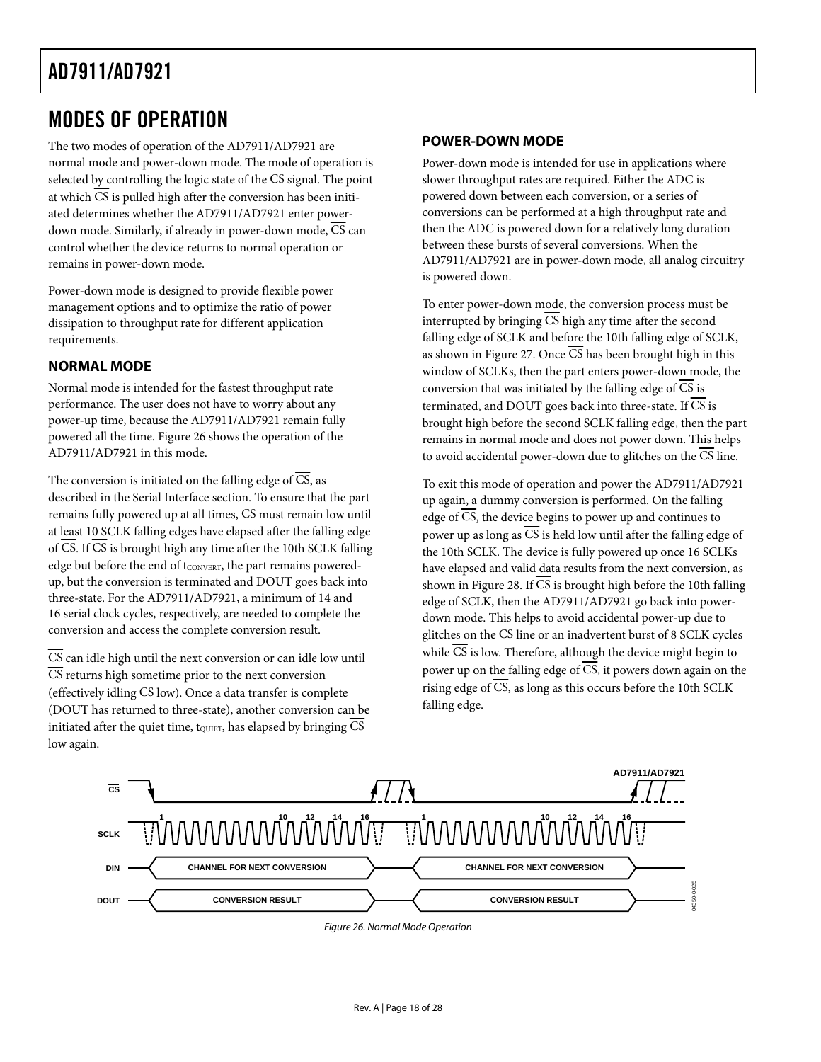### <span id="page-17-2"></span><span id="page-17-1"></span><span id="page-17-0"></span>MODES OF OPERATION

The two modes of operation of the AD7911/AD7921 are normal mode and power-down mode. The mode of operation is selected by controlling the logic state of the  $\overline{CS}$  signal. The point at which CS is pulled high after the conversion has been initiated determines whether the AD7911/AD7921 enter powerdown mode. Similarly, if already in power-down mode,  $\overline{\text{CS}}$  can control whether the device returns to normal operation or remains in power-down mode.

Power-down mode is designed to provide flexible power management options and to optimize the ratio of power dissipation to throughput rate for different application requirements.

#### **NORMAL MODE**

Normal mode is intended for the fastest throughput rate performance. The user does not have to worry about any power-up time, because the AD7911/AD7921 remain fully powered all the time. [Figure 26](#page-17-3) shows the operation of the AD7911/AD7921 in this mode.

The conversion is initiated on the falling edge of CS, as described in the Serial Interface section. To ensure that the part remains fully powered up at all times, CS must remain low until at least 10 SCLK falling edges have elapsed after the falling edge of  $\overline{CS}$ . If  $\overline{CS}$  is brought high any time after the 10th SCLK falling edge but before the end of tconvert, the part remains poweredup, but the conversion is terminated and DOUT goes back into three-state. For the AD7911/AD7921, a minimum of 14 and 16 serial clock cycles, respectively, are needed to complete the conversion and access the complete conversion result.

 $\overline{\text{CS}}$  can idle high until the next conversion or can idle low until  $\overline{CS}$  returns high sometime prior to the next conversion (effectively idling  $\overline{CS}$  low). Once a data transfer is complete (DOUT has returned to three-state), another conversion can be initiated after the quiet time, to use alapsed by bringing  $\overline{\text{CS}}$ low again.

#### **POWER-DOWN MODE**

Power-down mode is intended for use in applications where slower throughput rates are required. Either the ADC is powered down between each conversion, or a series of conversions can be performed at a high throughput rate and then the ADC is powered down for a relatively long duration between these bursts of several conversions. When the AD7911/AD7921 are in power-down mode, all analog circuitry is powered down.

To enter power-down mode, the conversion process must be interrupted by bringing  $\overline{CS}$  high any time after the second falling edge of SCLK and before the 10th falling edge of SCLK, as shown in [Figure 27](#page-18-1). Once  $\overline{CS}$  has been brought high in this window of SCLKs, then the part enters power-down mode, the conversion that was initiated by the falling edge of CS is terminated, and DOUT goes back into three-state. If  $\overline{\text{CS}}$  is brought high before the second SCLK falling edge, then the part remains in normal mode and does not power down. This helps to avoid accidental power-down due to glitches on the CS line.

To exit this mode of operation and power the AD7911/AD7921 up again, a dummy conversion is performed. On the falling edge of  $\overline{CS}$ , the device begins to power up and continues to power up as long as  $\overline{CS}$  is held low until after the falling edge of the 10th SCLK. The device is fully powered up once 16 SCLKs have elapsed and valid data results from the next conversion, as shown in [Figure 28](#page-18-2). If CS is brought high before the 10th falling edge of SCLK, then the AD7911/AD7921 go back into powerdown mode. This helps to avoid accidental power-up due to glitches on the  $\overline{\text{CS}}$  line or an inadvertent burst of 8 SCLK cycles while  $\overline{\text{CS}}$  is low. Therefore, although the device might begin to power up on the falling edge of  $\overline{\text{CS}}$ , it powers down again on the rising edge of  $\overline{CS}$ , as long as this occurs before the 10th SCLK falling edge.

<span id="page-17-3"></span>

Figure 26. Normal Mode Operation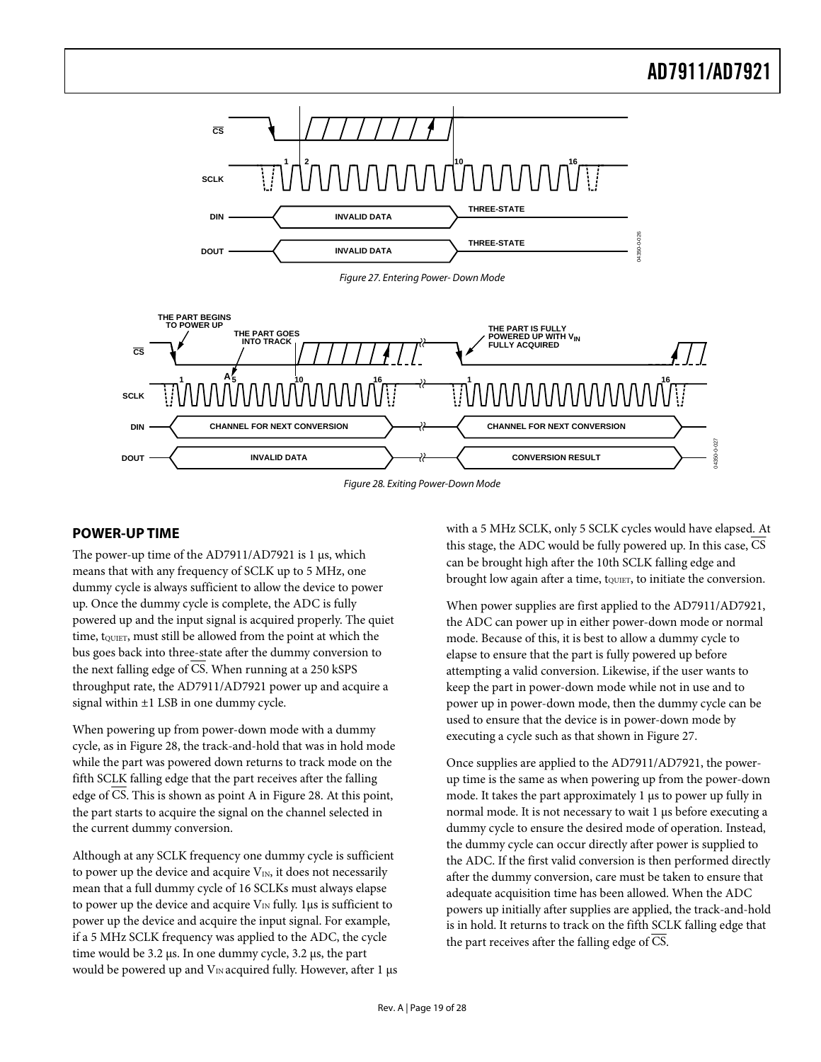<span id="page-18-0"></span>

Figure 27. Entering Power- Down Mode

<span id="page-18-1"></span>

Figure 28. Exiting Power-Down Mode

#### <span id="page-18-2"></span>**POWER-UP TIME**

The power-up time of the AD7911/AD7921 is 1 μs, which means that with any frequency of SCLK up to 5 MHz, one dummy cycle is always sufficient to allow the device to power up. Once the dummy cycle is complete, the ADC is fully powered up and the input signal is acquired properly. The quiet time, t<sub>QUIET</sub>, must still be allowed from the point at which the bus goes back into three-state after the dummy conversion to the next falling edge of CS. When running at a 250 kSPS throughput rate, the AD7911/AD7921 power up and acquire a signal within ±1 LSB in one dummy cycle.

When powering up from power-down mode with a dummy cycle, as in [Figure 28](#page-18-2), the track-and-hold that was in hold mode while the part was powered down returns to track mode on the fifth SCLK falling edge that the part receives after the falling edge of CS. This is shown as point A in Figure 28. At this point, the part starts to acquire the signal on the channel selected in the current dummy conversion.

Although at any SCLK frequency one dummy cycle is sufficient to power up the device and acquire  $V_{IN}$ , it does not necessarily mean that a full dummy cycle of 16 SCLKs must always elapse to power up the device and acquire  $V_{\text{IN}}$  fully. 1 µs is sufficient to power up the device and acquire the input signal. For example, if a 5 MHz SCLK frequency was applied to the ADC, the cycle time would be 3.2 μs. In one dummy cycle, 3.2 μs, the part would be powered up and  $V_{IN}$  acquired fully. However, after 1  $\mu$ s with a 5 MHz SCLK, only 5 SCLK cycles would have elapsed. At this stage, the ADC would be fully powered up. In this case, CS can be brought high after the 10th SCLK falling edge and brought low again after a time, to unitiate the conversion.

When power supplies are first applied to the AD7911/AD7921, the ADC can power up in either power-down mode or normal mode. Because of this, it is best to allow a dummy cycle to elapse to ensure that the part is fully powered up before attempting a valid conversion. Likewise, if the user wants to keep the part in power-down mode while not in use and to power up in power-down mode, then the dummy cycle can be used to ensure that the device is in power-down mode by executing a cycle such as that shown in [Figure 27](#page-18-1).

Once supplies are applied to the AD7911/AD7921, the powerup time is the same as when powering up from the power-down mode. It takes the part approximately 1 μs to power up fully in normal mode. It is not necessary to wait 1 μs before executing a dummy cycle to ensure the desired mode of operation. Instead, the dummy cycle can occur directly after power is supplied to the ADC. If the first valid conversion is then performed directly after the dummy conversion, care must be taken to ensure that adequate acquisition time has been allowed. When the ADC powers up initially after supplies are applied, the track-and-hold is in hold. It returns to track on the fifth SCLK falling edge that the part receives after the falling edge of CS.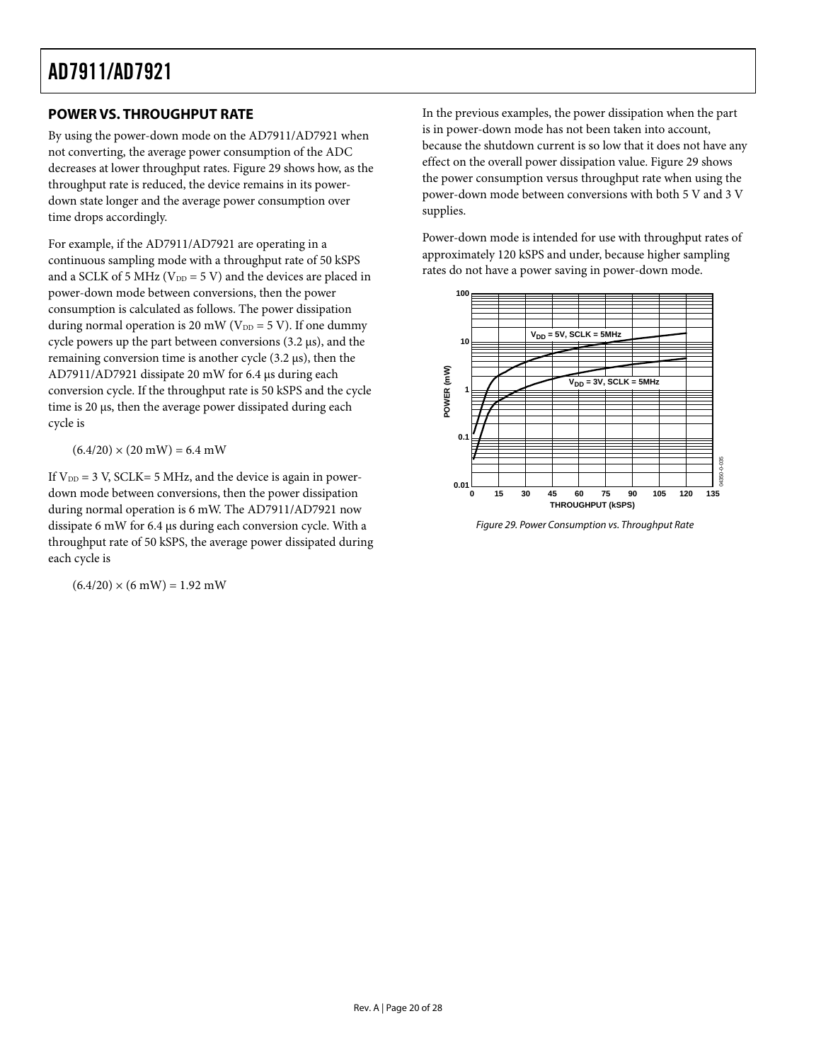#### <span id="page-19-1"></span><span id="page-19-0"></span>**POWER VS. THROUGHPUT RATE**

By using the power-down mode on the AD7911/AD7921 when not converting, the average power consumption of the ADC decreases at lower throughput rates. [Figure 29](#page-19-2) shows how, as the throughput rate is reduced, the device remains in its powerdown state longer and the average power consumption over time drops accordingly.

For example, if the AD7911/AD7921 are operating in a continuous sampling mode with a throughput rate of 50 kSPS and a SCLK of 5 MHz ( $V_{DD}$  = 5 V) and the devices are placed in power-down mode between conversions, then the power consumption is calculated as follows. The power dissipation during normal operation is 20 mW ( $V_{DD} = 5$  V). If one dummy cycle powers up the part between conversions (3.2 μs), and the remaining conversion time is another cycle (3.2 μs), then the AD7911/AD7921 dissipate 20 mW for 6.4 μs during each conversion cycle. If the throughput rate is 50 kSPS and the cycle time is 20 μs, then the average power dissipated during each cycle is

 $(6.4/20) \times (20 \text{ mW}) = 6.4 \text{ mW}$ 

<span id="page-19-2"></span>If  $V_{DD} = 3$  V, SCLK= 5 MHz, and the device is again in powerdown mode between conversions, then the power dissipation during normal operation is 6 mW. The AD7911/AD7921 now dissipate 6 mW for 6.4 μs during each conversion cycle. With a throughput rate of 50 kSPS, the average power dissipated during each cycle is

 $(6.4/20) \times (6 \text{ mW}) = 1.92 \text{ mW}$ 

In the previous examples, the power dissipation when the part is in power-down mode has not been taken into account, because the shutdown current is so low that it does not have any effect on the overall power dissipation value. [Figure 29](#page-19-2) shows the power consumption versus throughput rate when using the power-down mode between conversions with both 5 V and 3 V supplies.

Power-down mode is intended for use with throughput rates of approximately 120 kSPS and under, because higher sampling rates do not have a power saving in power-down mode.



Figure 29. Power Consumption vs. Throughput Rate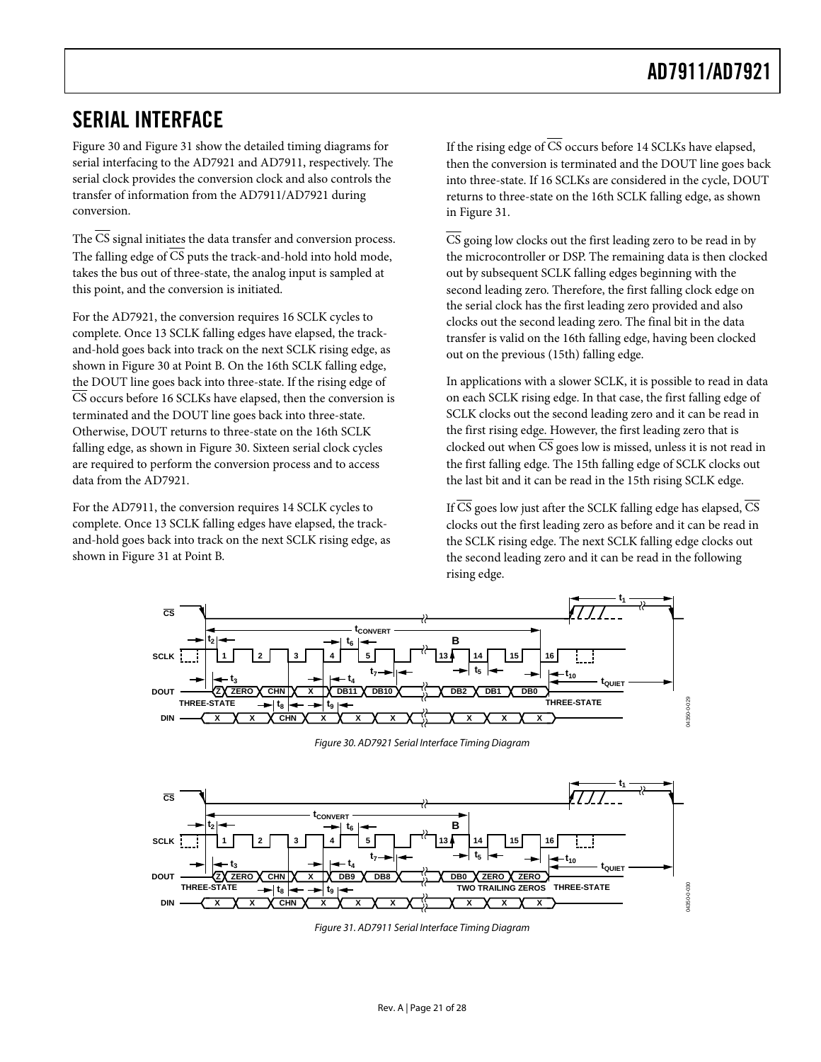### <span id="page-20-1"></span><span id="page-20-0"></span>SERIAL INTERFACE

[Figure 30](#page-20-2) and [Figure 31](#page-20-3) show the detailed timing diagrams for serial interfacing to the AD7921 and AD7911, respectively. The serial clock provides the conversion clock and also controls the transfer of information from the AD7911/AD7921 during conversion.

The CS signal initiates the data transfer and conversion process. The falling edge of  $\overline{CS}$  puts the track-and-hold into hold mode, takes the bus out of three-state, the analog input is sampled at this point, and the conversion is initiated.

For the AD7921, the conversion requires 16 SCLK cycles to complete. Once 13 SCLK falling edges have elapsed, the trackand-hold goes back into track on the next SCLK rising edge, as shown in [Figure 30](#page-20-2) at Point B. On the 16th SCLK falling edge, the DOUT line goes back into three-state. If the rising edge of CS occurs before 16 SCLKs have elapsed, then the conversion is terminated and the DOUT line goes back into three-state. Otherwise, DOUT returns to three-state on the 16th SCLK falling edge, as shown in Figure 30. Sixteen serial clock cycles are required to perform the conversion process and to access data from the AD7921.

For the AD7911, the conversion requires 14 SCLK cycles to complete. Once 13 SCLK falling edges have elapsed, the trackand-hold goes back into track on the next SCLK rising edge, as shown in [Figure 31](#page-20-3) at Point B.

If the rising edge of  $\overline{CS}$  occurs before 14 SCLKs have elapsed, then the conversion is terminated and the DOUT line goes back into three-state. If 16 SCLKs are considered in the cycle, DOUT returns to three-state on the 16th SCLK falling edge, as shown in [Figure 31](#page-20-3).

 $\overline{CS}$  going low clocks out the first leading zero to be read in by the microcontroller or DSP. The remaining data is then clocked out by subsequent SCLK falling edges beginning with the second leading zero. Therefore, the first falling clock edge on the serial clock has the first leading zero provided and also clocks out the second leading zero. The final bit in the data transfer is valid on the 16th falling edge, having been clocked out on the previous (15th) falling edge.

In applications with a slower SCLK, it is possible to read in data on each SCLK rising edge. In that case, the first falling edge of SCLK clocks out the second leading zero and it can be read in the first rising edge. However, the first leading zero that is clocked out when CS goes low is missed, unless it is not read in the first falling edge. The 15th falling edge of SCLK clocks out the last bit and it can be read in the 15th rising SCLK edge.

If  $\overline{\text{CS}}$  goes low just after the SCLK falling edge has elapsed,  $\overline{\text{CS}}$ clocks out the first leading zero as before and it can be read in the SCLK rising edge. The next SCLK falling edge clocks out the second leading zero and it can be read in the following rising edge.



Figure 30. AD7921 Serial Interface Timing Diagram

<span id="page-20-3"></span><span id="page-20-2"></span>

Figure 31. AD7911 Serial Interface Timing Diagram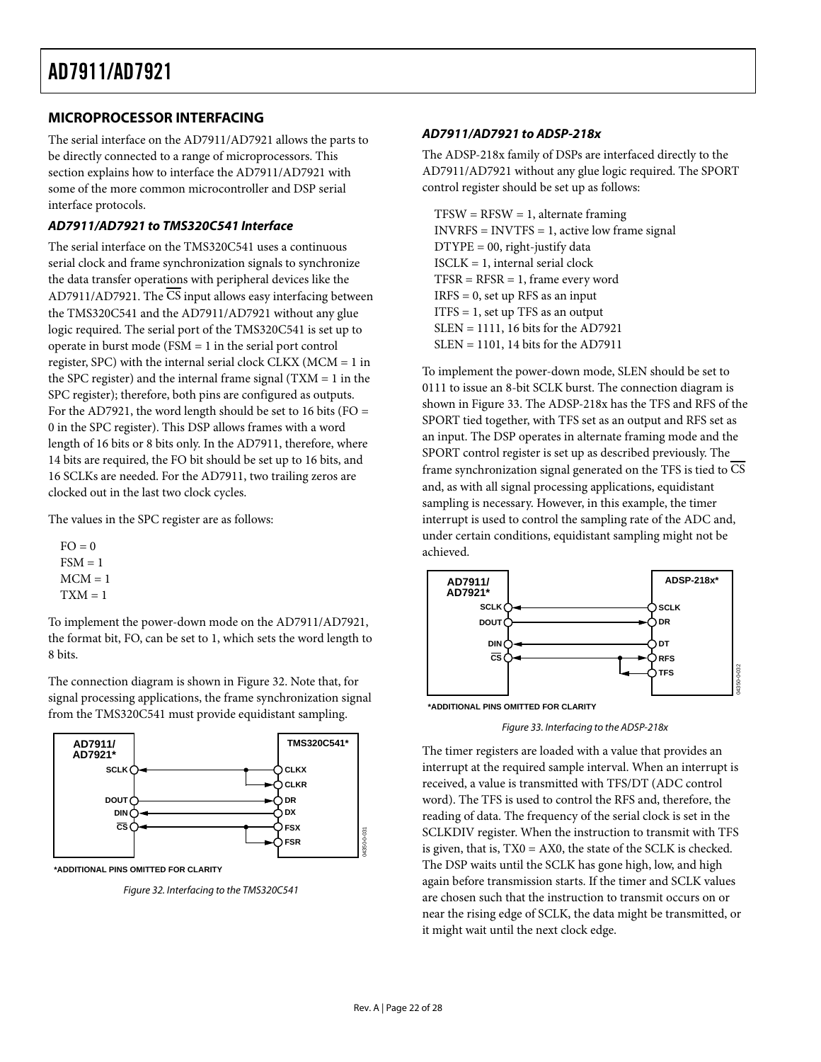#### <span id="page-21-0"></span>**MICROPROCESSOR INTERFACING**

The serial interface on the AD7911/AD7921 allows the parts to be directly connected to a range of microprocessors. This section explains how to interface the AD7911/AD7921 with some of the more common microcontroller and DSP serial interface protocols.

#### **AD7911/AD7921 to TMS320C541 Interface**

The serial interface on the TMS320C541 uses a continuous serial clock and frame synchronization signals to synchronize the data transfer operations with peripheral devices like the AD7911/AD7921. The  $\overline{\text{CS}}$  input allows easy interfacing between the TMS320C541 and the AD7911/AD7921 without any glue logic required. The serial port of the TMS320C541 is set up to operate in burst mode (FSM = 1 in the serial port control register, SPC) with the internal serial clock CLKX (MCM = 1 in the SPC register) and the internal frame signal  $(TXM = 1$  in the SPC register); therefore, both pins are configured as outputs. For the AD7921, the word length should be set to 16 bits ( $FO =$ 0 in the SPC register). This DSP allows frames with a word length of 16 bits or 8 bits only. In the AD7911, therefore, where 14 bits are required, the FO bit should be set up to 16 bits, and 16 SCLKs are needed. For the AD7911, two trailing zeros are clocked out in the last two clock cycles.

The values in the SPC register are as follows:

 $FO = 0$  $FSM = 1$  $MCM = 1$  $TXM = 1$ 

To implement the power-down mode on the AD7911/AD7921, the format bit, FO, can be set to 1, which sets the word length to 8 bits.

The connection diagram is shown in [Figure 32](#page-21-1). Note that, for signal processing applications, the frame synchronization signal from the TMS320C541 must provide equidistant sampling.

<span id="page-21-2"></span>

<span id="page-21-1"></span>

Figure 32. Interfacing to the TMS320C541

#### **AD7911/AD7921 to ADSP-218x**

The ADSP-218x family of DSPs are interfaced directly to the AD7911/AD7921 without any glue logic required. The SPORT control register should be set up as follows:

 $TFSW = RFSW = 1$ , alternate framing INVRFS = INVTFS = 1, active low frame signal  $D$ *TYPE* = 00, right-justify data  $ISCLK = 1$ , internal serial clock  $TFSR = RFSR = 1$ , frame every word  $IRFS = 0$ , set up RFS as an input  $ITFS = 1$ , set up TFS as an output SLEN = 1111, 16 bits for the AD7921 SLEN = 1101, 14 bits for the AD7911

To implement the power-down mode, SLEN should be set to 0111 to issue an 8-bit SCLK burst. The connection diagram is shown in [Figure 33](#page-21-2). The ADSP-218x has the TFS and RFS of the SPORT tied together, with TFS set as an output and RFS set as an input. The DSP operates in alternate framing mode and the SPORT control register is set up as described previously. The frame synchronization signal generated on the TFS is tied to CS and, as with all signal processing applications, equidistant sampling is necessary. However, in this example, the timer interrupt is used to control the sampling rate of the ADC and, under certain conditions, equidistant sampling might not be achieved.



**\*ADDITIONAL PINS OMITTED FOR CLARITY**

Figure 33. Interfacing to the ADSP-218x

The timer registers are loaded with a value that provides an interrupt at the required sample interval. When an interrupt is received, a value is transmitted with TFS/DT (ADC control word). The TFS is used to control the RFS and, therefore, the reading of data. The frequency of the serial clock is set in the SCLKDIV register. When the instruction to transmit with TFS is given, that is, TX0 = AX0, the state of the SCLK is checked. The DSP waits until the SCLK has gone high, low, and high again before transmission starts. If the timer and SCLK values are chosen such that the instruction to transmit occurs on or near the rising edge of SCLK, the data might be transmitted, or it might wait until the next clock edge.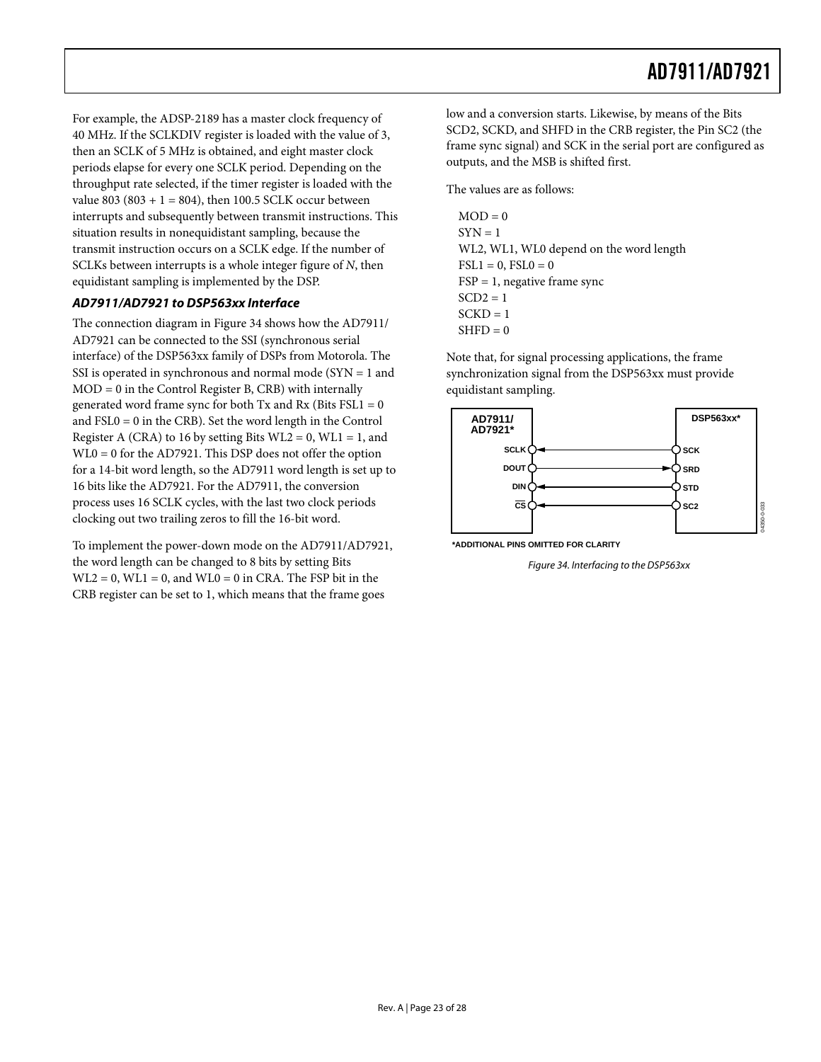For example, the ADSP-2189 has a master clock frequency of 40 MHz. If the SCLKDIV register is loaded with the value of 3, then an SCLK of 5 MHz is obtained, and eight master clock periods elapse for every one SCLK period. Depending on the throughput rate selected, if the timer register is loaded with the value 803 (803 + 1 = 804), then 100.5 SCLK occur between interrupts and subsequently between transmit instructions. This situation results in nonequidistant sampling, because the transmit instruction occurs on a SCLK edge. If the number of SCLKs between interrupts is a whole integer figure of *N*, then equidistant sampling is implemented by the DSP.

#### **AD7911/AD7921 to DSP563xx Interface**

The connection diagram in [Figure 34](#page-22-0) shows how the AD7911/ AD7921 can be connected to the SSI (synchronous serial interface) of the DSP563xx family of DSPs from Motorola. The SSI is operated in synchronous and normal mode (SYN = 1 and MOD = 0 in the Control Register B, CRB) with internally generated word frame sync for both  $Tx$  and  $Rx$  (Bits  $FSL1 = 0$ and FSL0 = 0 in the CRB). Set the word length in the Control Register A (CRA) to 16 by setting Bits  $WL2 = 0$ ,  $WL1 = 1$ , and WL0 = 0 for the AD7921. This DSP does not offer the option for a 14-bit word length, so the AD7911 word length is set up to 16 bits like the AD7921. For the AD7911, the conversion process uses 16 SCLK cycles, with the last two clock periods clocking out two trailing zeros to fill the 16-bit word.

<span id="page-22-0"></span>To implement the power-down mode on the AD7911/AD7921, the word length can be changed to 8 bits by setting Bits  $WL2 = 0$ ,  $WL1 = 0$ , and  $WL0 = 0$  in CRA. The FSP bit in the CRB register can be set to 1, which means that the frame goes

low and a conversion starts. Likewise, by means of the Bits SCD2, SCKD, and SHFD in the CRB register, the Pin SC2 (the frame sync signal) and SCK in the serial port are configured as outputs, and the MSB is shifted first.

The values are as follows:

 $MOD = 0$  $SYN = 1$ WL2, WL1, WL0 depend on the word length  $\text{FSL1} = 0, \text{FSL0} = 0$  $FSP = 1$ , negative frame sync  $SCD2 = 1$  $SCKD = 1$  $SHPD = 0$ 

Note that, for signal processing applications, the frame synchronization signal from the DSP563xx must provide equidistant sampling.



**\*ADDITIONAL PINS OMITTED FOR CLARITY**

Figure 34. Interfacing to the DSP563xx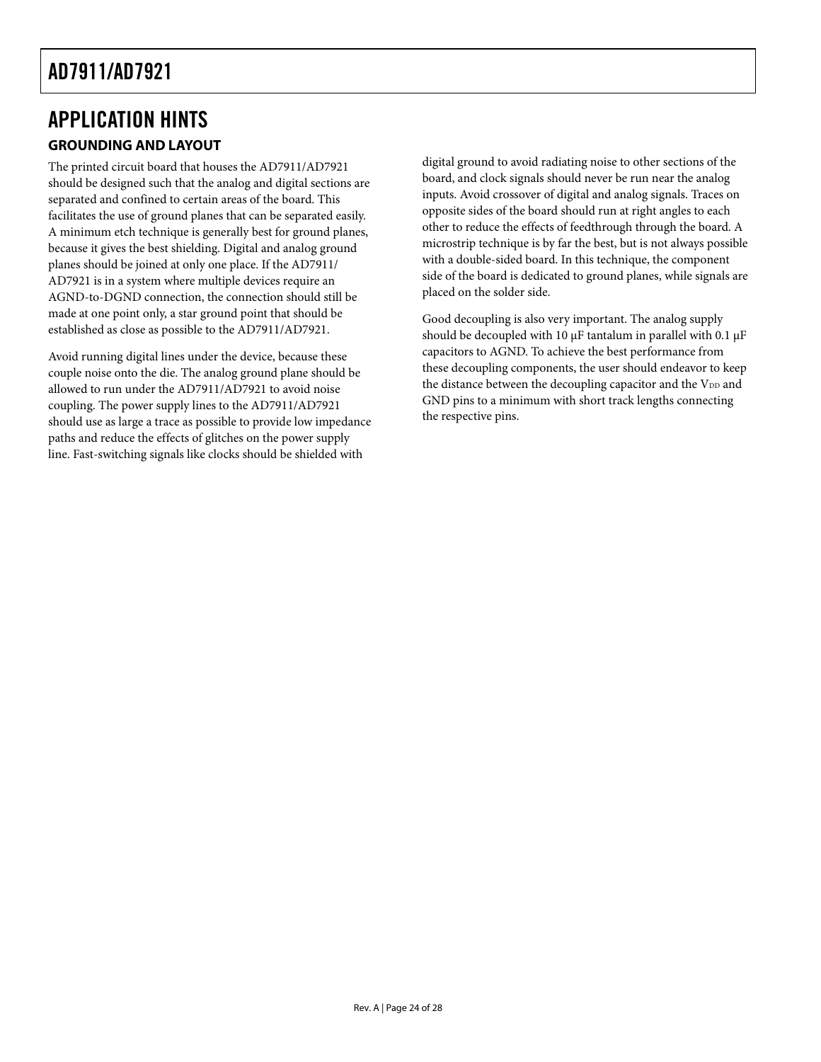# <span id="page-23-0"></span>APPLICATION HINTS

### **GROUNDING AND LAYOUT**

The printed circuit board that houses the AD7911/AD7921 should be designed such that the analog and digital sections are separated and confined to certain areas of the board. This facilitates the use of ground planes that can be separated easily. A minimum etch technique is generally best for ground planes, because it gives the best shielding. Digital and analog ground planes should be joined at only one place. If the AD7911/ AD7921 is in a system where multiple devices require an AGND-to-DGND connection, the connection should still be made at one point only, a star ground point that should be established as close as possible to the AD7911/AD7921.

Avoid running digital lines under the device, because these couple noise onto the die. The analog ground plane should be allowed to run under the AD7911/AD7921 to avoid noise coupling. The power supply lines to the AD7911/AD7921 should use as large a trace as possible to provide low impedance paths and reduce the effects of glitches on the power supply line. Fast-switching signals like clocks should be shielded with

digital ground to avoid radiating noise to other sections of the board, and clock signals should never be run near the analog inputs. Avoid crossover of digital and analog signals. Traces on opposite sides of the board should run at right angles to each other to reduce the effects of feedthrough through the board. A microstrip technique is by far the best, but is not always possible with a double-sided board. In this technique, the component side of the board is dedicated to ground planes, while signals are placed on the solder side.

Good decoupling is also very important. The analog supply should be decoupled with 10  $\mu$ F tantalum in parallel with 0.1  $\mu$ F capacitors to AGND. To achieve the best performance from these decoupling components, the user should endeavor to keep the distance between the decoupling capacitor and the V<sub>DD</sub> and GND pins to a minimum with short track lengths connecting the respective pins.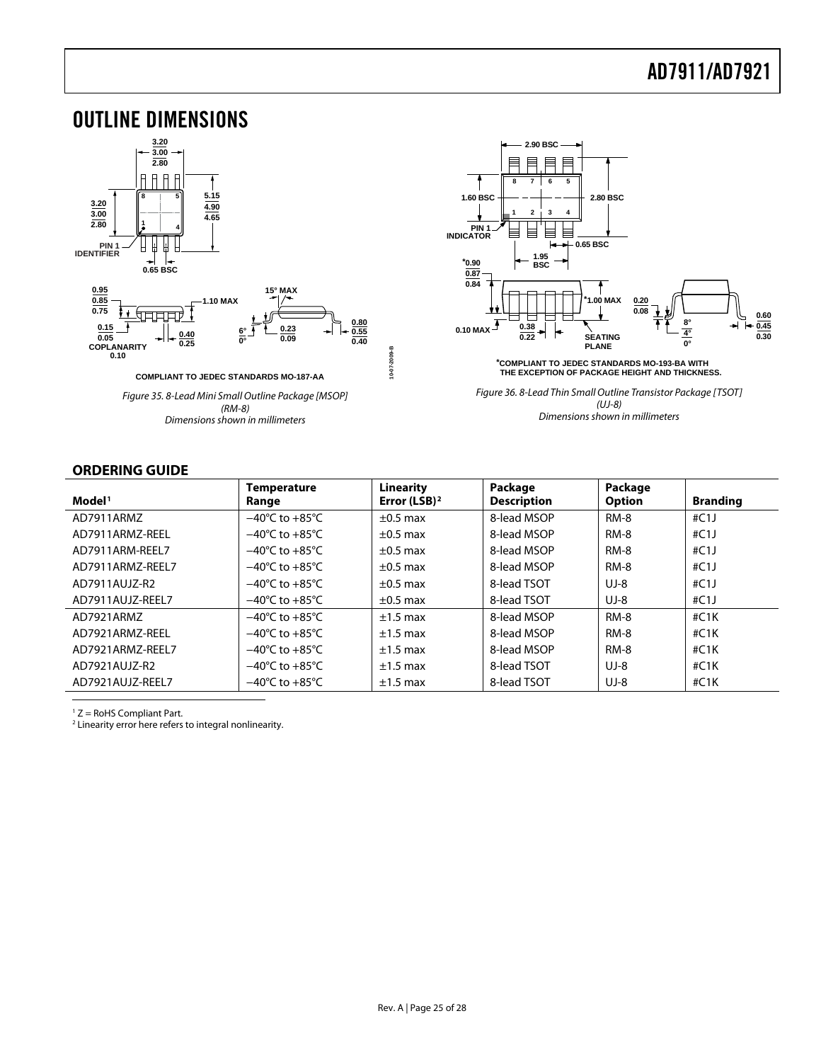### <span id="page-24-1"></span><span id="page-24-0"></span>OUTLINE DIMENSIONS



Dimensions shown in millimeters



Figure 36. 8-Lead Thin Small Outline Transistor Package [TSOT] (UJ-8) Dimensions shown in millimeters

#### **ORDERING GUIDE**

| Model <sup>1</sup> | <b>Temperature</b><br>Range        | Linearity<br>Error (LSB) $^2$ | Package<br><b>Description</b> | Package<br><b>Option</b> | <b>Branding</b> |
|--------------------|------------------------------------|-------------------------------|-------------------------------|--------------------------|-----------------|
| AD7911ARMZ         | $-40^{\circ}$ C to $+85^{\circ}$ C | $\pm 0.5$ max                 | 8-lead MSOP                   | RM-8                     | #C1J            |
| AD7911ARMZ-REEL    | $-40^{\circ}$ C to $+85^{\circ}$ C | $\pm 0.5$ max                 | 8-lead MSOP                   | <b>RM-8</b>              | #C1J            |
| AD7911ARM-REEL7    | $-40^{\circ}$ C to $+85^{\circ}$ C | $\pm 0.5$ max                 | 8-lead MSOP                   | <b>RM-8</b>              | #C1             |
| AD7911ARMZ-REEL7   | $-40^{\circ}$ C to $+85^{\circ}$ C | $\pm 0.5$ max                 | 8-lead MSOP                   | <b>RM-8</b>              | #C1             |
| AD7911AUJZ-R2      | $-40^{\circ}$ C to $+85^{\circ}$ C | $\pm 0.5$ max                 | 8-lead TSOT                   | $UJ-8$                   | #C1             |
| AD7911AUJZ-REEL7   | $-40^{\circ}$ C to $+85^{\circ}$ C | $\pm 0.5$ max                 | 8-lead TSOT                   | $UJ-8$                   | #C1J            |
| AD7921ARMZ         | $-40^{\circ}$ C to $+85^{\circ}$ C | $±1.5$ max                    | 8-lead MSOP                   | RM-8                     | #C1K            |
| AD7921ARMZ-REEL    | $-40^{\circ}$ C to $+85^{\circ}$ C | $±1.5$ max                    | 8-lead MSOP                   | <b>RM-8</b>              | #C1K            |
| AD7921ARMZ-REEL7   | $-40^{\circ}$ C to $+85^{\circ}$ C | $±1.5$ max                    | 8-lead MSOP                   | <b>RM-8</b>              | #C1K            |
| AD7921AUJZ-R2      | $-40^{\circ}$ C to $+85^{\circ}$ C | $±1.5$ max                    | 8-lead TSOT                   | $UJ-8$                   | #C1K            |
| AD7921AUJZ-REEL7   | $-40^{\circ}$ C to $+85^{\circ}$ C | $±1.5$ max                    | 8-lead TSOT                   | $UJ-8$                   | #C1K            |

 $1 Z =$  RoHS Compliant Part.

 $\overline{a}$ 

<sup>2</sup> Linearity error here refers to integral nonlinearity.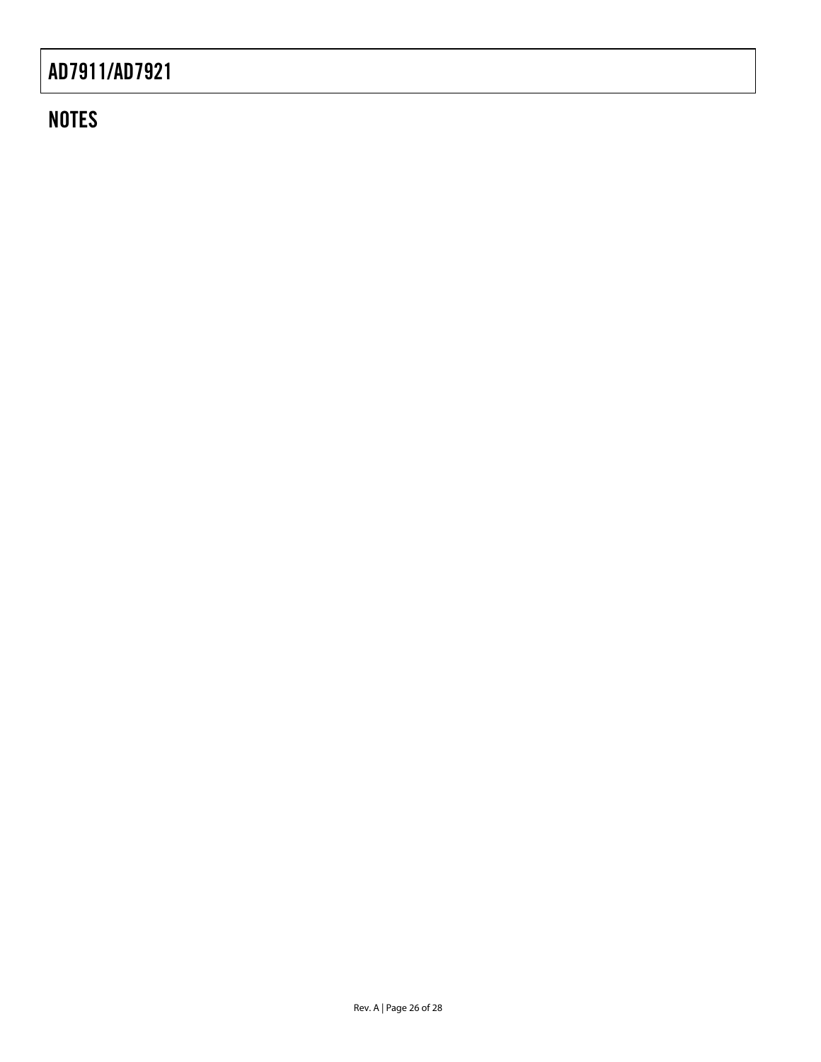### **NOTES**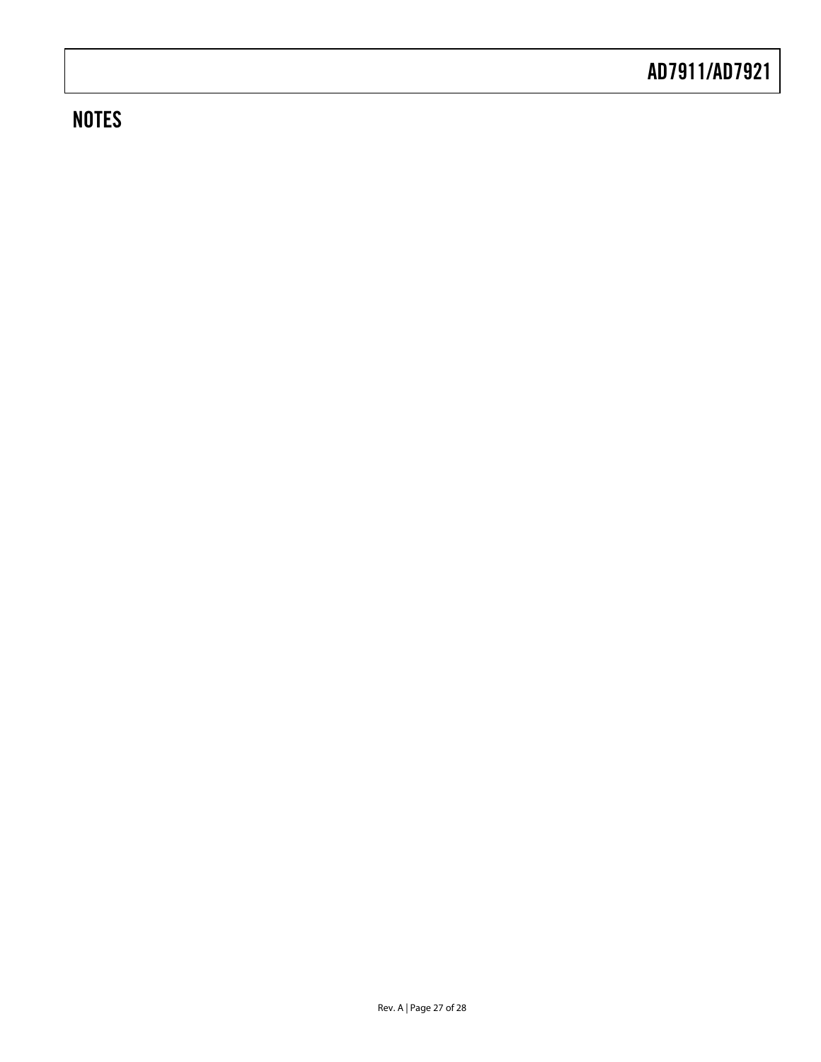### **NOTES**